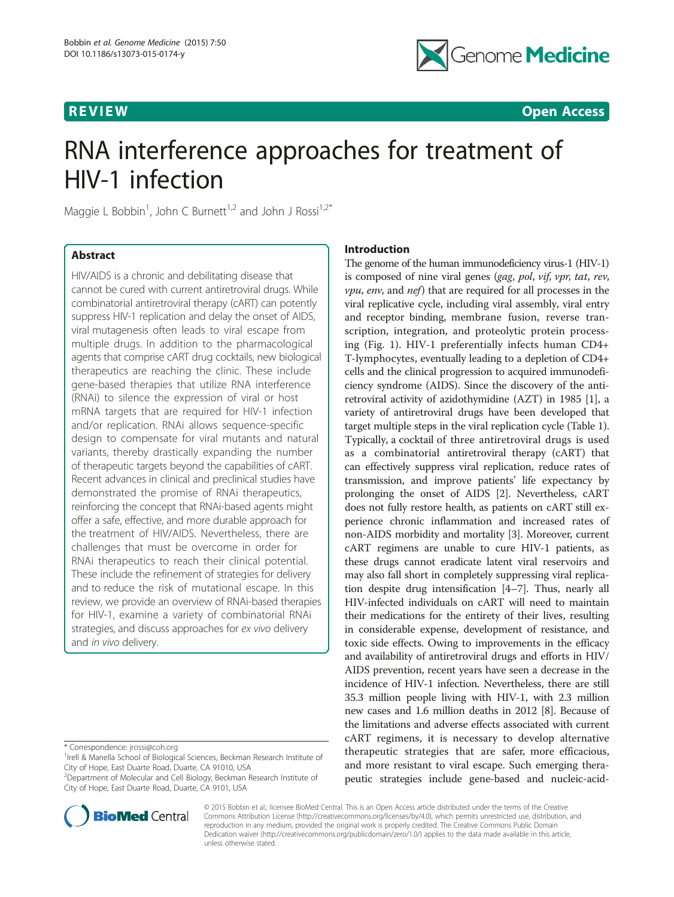

**REVIEW CONSULTANT CONTROL** 

# RNA interference approaches for treatment of HIV-1 infection

Maggie L Bobbin<sup>1</sup>, John C Burnett<sup>1,2</sup> and John J Rossi<sup>1,2\*</sup>

## Abstract

HIV/AIDS is a chronic and debilitating disease that cannot be cured with current antiretroviral drugs. While combinatorial antiretroviral therapy (cART) can potently suppress HIV-1 replication and delay the onset of AIDS, viral mutagenesis often leads to viral escape from multiple drugs. In addition to the pharmacological agents that comprise cART drug cocktails, new biological therapeutics are reaching the clinic. These include gene-based therapies that utilize RNA interference (RNAi) to silence the expression of viral or host mRNA targets that are required for HIV-1 infection and/or replication. RNAi allows sequence-specific design to compensate for viral mutants and natural variants, thereby drastically expanding the number of therapeutic targets beyond the capabilities of cART. Recent advances in clinical and preclinical studies have demonstrated the promise of RNAi therapeutics, reinforcing the concept that RNAi-based agents might offer a safe, effective, and more durable approach for the treatment of HIV/AIDS. Nevertheless, there are challenges that must be overcome in order for RNAi therapeutics to reach their clinical potential. These include the refinement of strategies for delivery and to reduce the risk of mutational escape. In this review, we provide an overview of RNAi-based therapies for HIV-1, examine a variety of combinatorial RNAi strategies, and discuss approaches for ex vivo delivery and in vivo delivery.

#### \* Correspondence: [jrossi@coh.org](mailto:jrossi@coh.org) <sup>1</sup>

<sup>2</sup> Department of Molecular and Cell Biology, Beckman Research Institute of City of Hope, East Duarte Road, Duarte, CA 9101, USA



### Introduction

The genome of the human immunodeficiency virus-1 (HIV-1) is composed of nine viral genes (gag, pol, vif, vpr, tat, rev, vpu, env, and nef) that are required for all processes in the viral replicative cycle, including viral assembly, viral entry and receptor binding, membrane fusion, reverse transcription, integration, and proteolytic protein processing (Fig. [1](#page-1-0)). HIV-1 preferentially infects human CD4+ T-lymphocytes, eventually leading to a depletion of CD4+ cells and the clinical progression to acquired immunodeficiency syndrome (AIDS). Since the discovery of the antiretroviral activity of azidothymidine (AZT) in 1985 [[1](#page-11-0)], a variety of antiretroviral drugs have been developed that target multiple steps in the viral replication cycle (Table [1](#page-2-0)). Typically, a cocktail of three antiretroviral drugs is used as a combinatorial antiretroviral therapy (cART) that can effectively suppress viral replication, reduce rates of transmission, and improve patients' life expectancy by prolonging the onset of AIDS [[2](#page-11-0)]. Nevertheless, cART does not fully restore health, as patients on cART still experience chronic inflammation and increased rates of non-AIDS morbidity and mortality [\[3](#page-11-0)]. Moreover, current cART regimens are unable to cure HIV-1 patients, as these drugs cannot eradicate latent viral reservoirs and may also fall short in completely suppressing viral replication despite drug intensification [[4](#page-11-0)–[7](#page-11-0)]. Thus, nearly all HIV-infected individuals on cART will need to maintain their medications for the entirety of their lives, resulting in considerable expense, development of resistance, and toxic side effects. Owing to improvements in the efficacy and availability of antiretroviral drugs and efforts in HIV/ AIDS prevention, recent years have seen a decrease in the incidence of HIV-1 infection. Nevertheless, there are still 35.3 million people living with HIV-1, with 2.3 million new cases and 1.6 million deaths in 2012 [\[8](#page-11-0)]. Because of the limitations and adverse effects associated with current cART regimens, it is necessary to develop alternative therapeutic strategies that are safer, more efficacious, and more resistant to viral escape. Such emerging therapeutic strategies include gene-based and nucleic-acid-

© 2015 Bobbin et al.; licensee BioMed Central. This is an Open Access article distributed under the terms of the Creative Commons Attribution License [\(http://creativecommons.org/licenses/by/4.0\)](http://creativecommons.org/licenses/by/4.0), which permits unrestricted use, distribution, and reproduction in any medium, provided the original work is properly credited. The Creative Commons Public Domain Dedication waiver [\(http://creativecommons.org/publicdomain/zero/1.0/](http://creativecommons.org/publicdomain/zero/1.0/)) applies to the data made available in this article, unless otherwise stated.

<sup>&</sup>lt;sup>1</sup>Irell & Manella School of Biological Sciences, Beckman Research Institute of City of Hope, East Duarte Road, Duarte, CA 91010, USA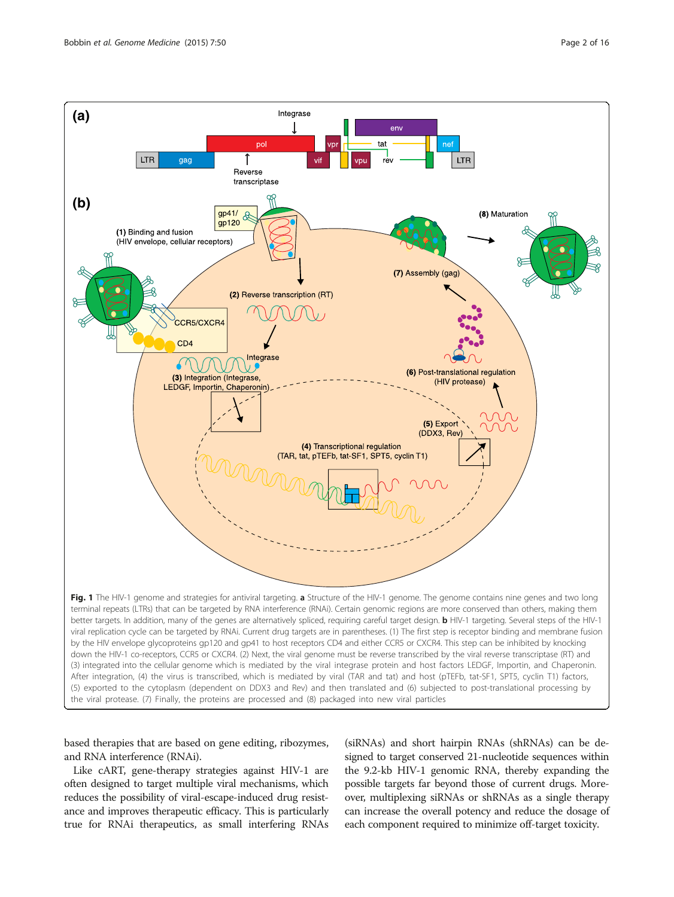<span id="page-1-0"></span>

based therapies that are based on gene editing, ribozymes, and RNA interference (RNAi).

Like cART, gene-therapy strategies against HIV-1 are often designed to target multiple viral mechanisms, which reduces the possibility of viral-escape-induced drug resistance and improves therapeutic efficacy. This is particularly true for RNAi therapeutics, as small interfering RNAs

(siRNAs) and short hairpin RNAs (shRNAs) can be designed to target conserved 21-nucleotide sequences within the 9.2-kb HIV-1 genomic RNA, thereby expanding the possible targets far beyond those of current drugs. Moreover, multiplexing siRNAs or shRNAs as a single therapy can increase the overall potency and reduce the dosage of each component required to minimize off-target toxicity.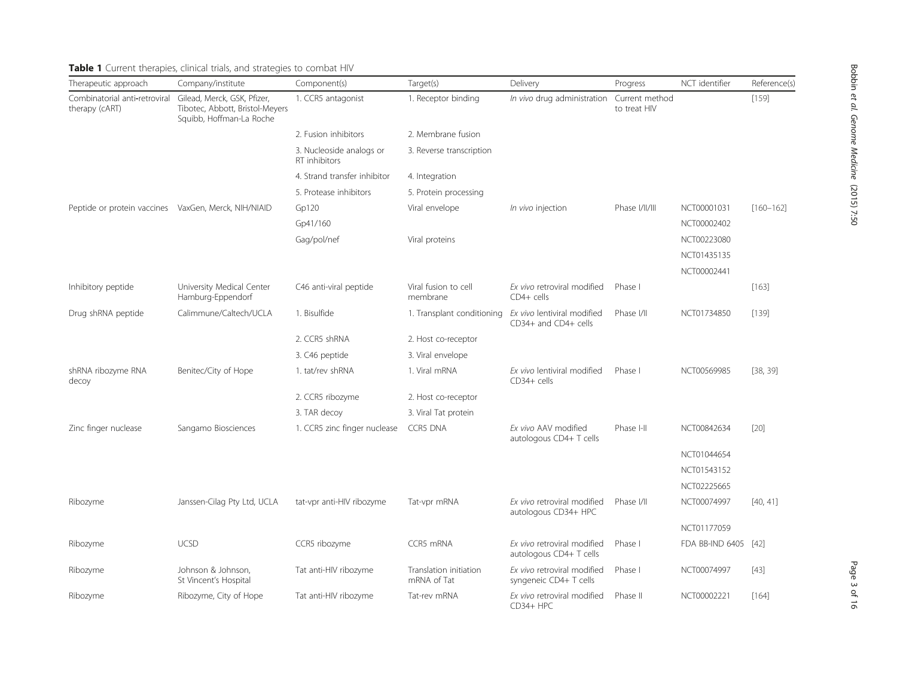# <span id="page-2-0"></span>Table 1 Current therapies, clinical trials, and strategies to combat HIV

| Therapeutic approach                                 | Company/institute                                                                          | Component(s)                              | Target(s)                             | Delivery                                               | Progress                       | NCT identifier  | Reference(s)  |
|------------------------------------------------------|--------------------------------------------------------------------------------------------|-------------------------------------------|---------------------------------------|--------------------------------------------------------|--------------------------------|-----------------|---------------|
| Combinatorial anti-retroviral<br>therapy (cART)      | Gilead, Merck, GSK, Pfizer,<br>Tibotec, Abbott, Bristol-Meyers<br>Squibb, Hoffman-La Roche | 1. CCR5 antagonist                        | 1. Receptor binding                   | In vivo drug administration                            | Current method<br>to treat HIV |                 | $[159]$       |
|                                                      |                                                                                            | 2. Fusion inhibitors                      | 2. Membrane fusion                    |                                                        |                                |                 |               |
|                                                      |                                                                                            | 3. Nucleoside analogs or<br>RT inhibitors | 3. Reverse transcription              |                                                        |                                |                 |               |
|                                                      |                                                                                            | 4. Strand transfer inhibitor              | 4. Integration                        |                                                        |                                |                 |               |
|                                                      |                                                                                            | 5. Protease inhibitors                    | 5. Protein processing                 |                                                        |                                |                 |               |
| Peptide or protein vaccines VaxGen, Merck, NIH/NIAID |                                                                                            | Gp120                                     | Viral envelope                        | In vivo injection                                      | Phase I/II/III                 | NCT00001031     | $[160 - 162]$ |
|                                                      |                                                                                            | Gp41/160                                  |                                       |                                                        |                                | NCT00002402     |               |
|                                                      |                                                                                            | Gag/pol/nef                               | Viral proteins                        |                                                        |                                | NCT00223080     |               |
|                                                      |                                                                                            |                                           |                                       |                                                        |                                | NCT01435135     |               |
|                                                      |                                                                                            |                                           |                                       |                                                        |                                | NCT00002441     |               |
| Inhibitory peptide                                   | University Medical Center<br>Hamburg-Eppendorf                                             | C46 anti-viral peptide                    | Viral fusion to cell<br>membrane      | Ex vivo retroviral modified<br>$CD4+$ cells            | Phase I                        |                 | [163]         |
| Drug shRNA peptide                                   | Calimmune/Caltech/UCLA                                                                     | 1. Bisulfide                              | 1. Transplant conditioning            | Ex vivo lentiviral modified<br>CD34+ and CD4+ cells    | Phase I/II                     | NCT01734850     | [139]         |
|                                                      |                                                                                            | 2. CCR5 shRNA                             | 2. Host co-receptor                   |                                                        |                                |                 |               |
|                                                      |                                                                                            | 3. C46 peptide                            | 3. Viral envelope                     |                                                        |                                |                 |               |
| shRNA ribozyme RNA<br>decoy                          | Benitec/City of Hope                                                                       | 1. tat/rev shRNA                          | 1. Viral mRNA                         | Ex vivo lentiviral modified<br>CD34+ cells             | Phase I                        | NCT00569985     | [38, 39]      |
|                                                      |                                                                                            | 2. CCR5 ribozyme                          | 2. Host co-receptor                   |                                                        |                                |                 |               |
|                                                      |                                                                                            | 3. TAR decoy                              | 3. Viral Tat protein                  |                                                        |                                |                 |               |
| Zinc finger nuclease                                 | Sangamo Biosciences                                                                        | 1. CCR5 zinc finger nuclease              | CCR5 DNA                              | Ex vivo AAV modified<br>autologous CD4+ T cells        | Phase I-II                     | NCT00842634     | $[20]$        |
|                                                      |                                                                                            |                                           |                                       |                                                        |                                | NCT01044654     |               |
|                                                      |                                                                                            |                                           |                                       |                                                        |                                | NCT01543152     |               |
|                                                      |                                                                                            |                                           |                                       |                                                        |                                | NCT02225665     |               |
| Ribozyme                                             | Janssen-Cilag Pty Ltd, UCLA                                                                | tat-vpr anti-HIV ribozyme                 | Tat-vpr mRNA                          | Ex vivo retroviral modified<br>autologous CD34+ HPC    | Phase I/II                     | NCT00074997     | [40, 41]      |
|                                                      |                                                                                            |                                           |                                       |                                                        |                                | NCT01177059     |               |
| Ribozyme                                             | <b>UCSD</b>                                                                                | CCR5 ribozyme                             | CCR5 mRNA                             | Ex vivo retroviral modified<br>autologous CD4+ T cells | Phase I                        | FDA BB-IND 6405 | $[42]$        |
| Ribozyme                                             | Johnson & Johnson,<br>St Vincent's Hospital                                                | Tat anti-HIV ribozyme                     | Translation initiation<br>mRNA of Tat | Ex vivo retroviral modified<br>syngeneic CD4+ T cells  | Phase I                        | NCT00074997     | $[43]$        |
| Ribozyme                                             | Ribozyme, City of Hope                                                                     | Tat anti-HIV ribozyme                     | Tat-rev mRNA                          | Ex vivo retroviral modified<br>CD34+ HPC               | Phase II                       | NCT00002221     | [164]         |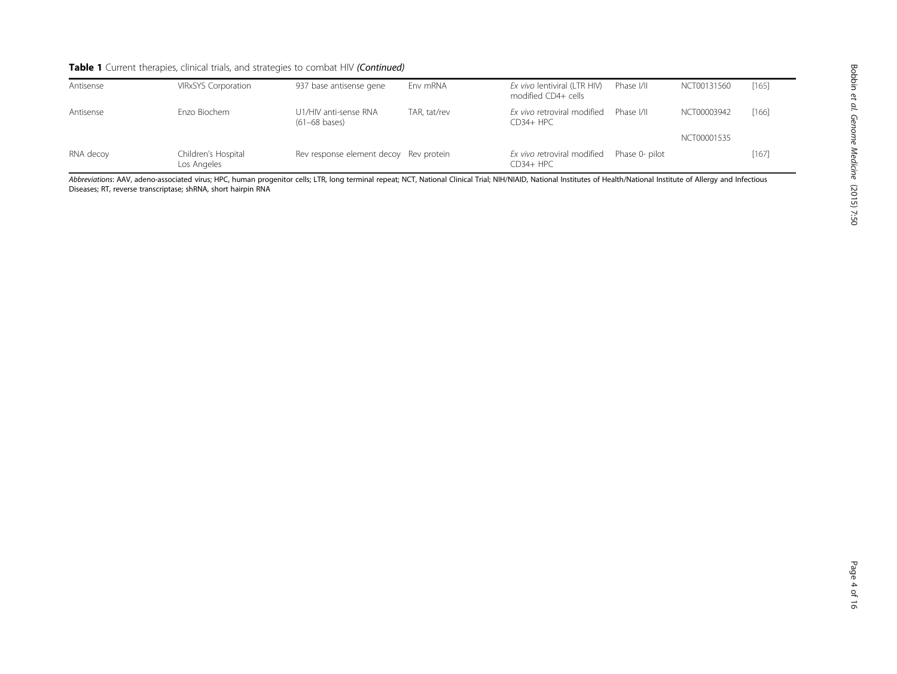| Antisense | <b>VIRxSYS Corporation</b>         | 937 base antisense gene                          | Env mRNA     | Ex vivo lentiviral (LTR HIV)<br>modified CD4+ cells | Phase I/II     | NCT00131560 | [165]   |
|-----------|------------------------------------|--------------------------------------------------|--------------|-----------------------------------------------------|----------------|-------------|---------|
| Antisense | Enzo Biochem                       | U1/HIV anti-sense RNA<br>$(61-68 \text{ bases})$ | TAR, tat/rev | Ex vivo retroviral modified<br>CD34+ HPC            | Phase I/II     | NCT00003942 | [166]   |
|           |                                    |                                                  |              |                                                     |                | NCT00001535 |         |
| RNA decov | Children's Hospital<br>Los Angeles | Rev response element decoy Rev protein           |              | Ex vivo retroviral modified<br>CD34+ HPC            | Phase 0- pilot |             | $[167]$ |

Abbreviations: AAV, adeno-associated virus; HPC, human progenitor cells; LTR, long terminal repeat; NCT, National Clinical Trial; NIH/NIAID, National Institutes of Health/National Institute of Allergy and Infectious Diseases; RT, reverse transcriptase; shRNA, short hairpin RNA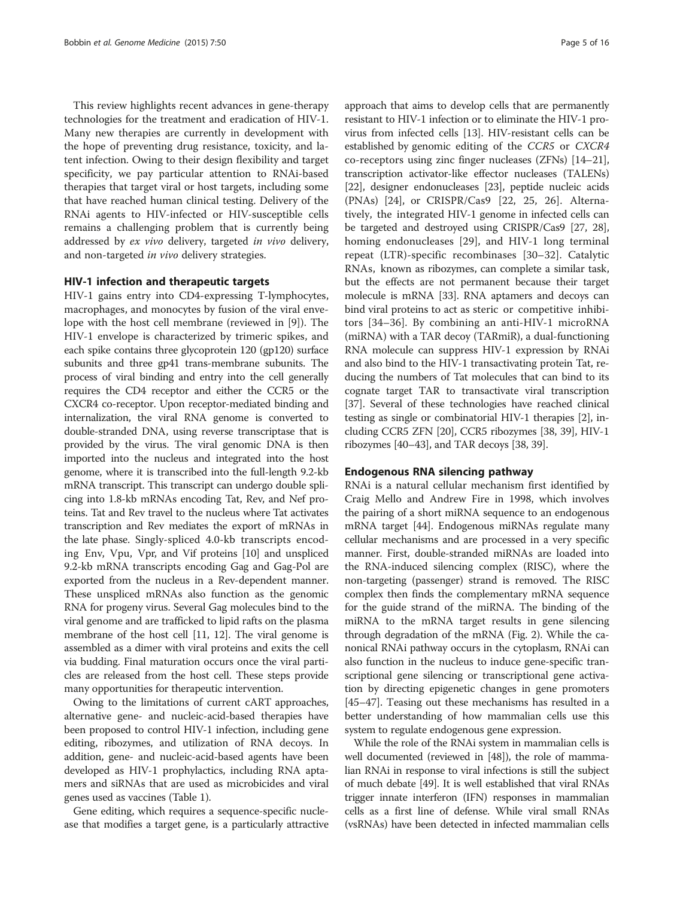This review highlights recent advances in gene-therapy technologies for the treatment and eradication of HIV-1. Many new therapies are currently in development with the hope of preventing drug resistance, toxicity, and latent infection. Owing to their design flexibility and target specificity, we pay particular attention to RNAi-based therapies that target viral or host targets, including some that have reached human clinical testing. Delivery of the RNAi agents to HIV-infected or HIV-susceptible cells remains a challenging problem that is currently being addressed by ex vivo delivery, targeted in vivo delivery, and non-targeted in vivo delivery strategies.

#### HIV-1 infection and therapeutic targets

HIV-1 gains entry into CD4-expressing T-lymphocytes, macrophages, and monocytes by fusion of the viral envelope with the host cell membrane (reviewed in [[9](#page-11-0)]). The HIV-1 envelope is characterized by trimeric spikes, and each spike contains three glycoprotein 120 (gp120) surface subunits and three gp41 trans-membrane subunits. The process of viral binding and entry into the cell generally requires the CD4 receptor and either the CCR5 or the CXCR4 co-receptor. Upon receptor-mediated binding and internalization, the viral RNA genome is converted to double-stranded DNA, using reverse transcriptase that is provided by the virus. The viral genomic DNA is then imported into the nucleus and integrated into the host genome, where it is transcribed into the full-length 9.2-kb mRNA transcript. This transcript can undergo double splicing into 1.8-kb mRNAs encoding Tat, Rev, and Nef proteins. Tat and Rev travel to the nucleus where Tat activates transcription and Rev mediates the export of mRNAs in the late phase. Singly-spliced 4.0-kb transcripts encoding Env, Vpu, Vpr, and Vif proteins [\[10\]](#page-11-0) and unspliced 9.2-kb mRNA transcripts encoding Gag and Gag-Pol are exported from the nucleus in a Rev-dependent manner. These unspliced mRNAs also function as the genomic RNA for progeny virus. Several Gag molecules bind to the viral genome and are trafficked to lipid rafts on the plasma membrane of the host cell [\[11](#page-11-0), [12\]](#page-11-0). The viral genome is assembled as a dimer with viral proteins and exits the cell via budding. Final maturation occurs once the viral particles are released from the host cell. These steps provide many opportunities for therapeutic intervention.

Owing to the limitations of current cART approaches, alternative gene- and nucleic-acid-based therapies have been proposed to control HIV-1 infection, including gene editing, ribozymes, and utilization of RNA decoys. In addition, gene- and nucleic-acid-based agents have been developed as HIV-1 prophylactics, including RNA aptamers and siRNAs that are used as microbicides and viral genes used as vaccines (Table [1](#page-2-0)).

Gene editing, which requires a sequence-specific nuclease that modifies a target gene, is a particularly attractive

approach that aims to develop cells that are permanently resistant to HIV-1 infection or to eliminate the HIV-1 provirus from infected cells [\[13](#page-11-0)]. HIV-resistant cells can be established by genomic editing of the CCR5 or CXCR4 co-receptors using zinc finger nucleases (ZFNs) [\[14](#page-11-0)–[21](#page-11-0)], transcription activator-like effector nucleases (TALENs) [[22](#page-11-0)], designer endonucleases [\[23\]](#page-11-0), peptide nucleic acids (PNAs) [[24](#page-11-0)], or CRISPR/Cas9 [[22, 25, 26\]](#page-11-0). Alternatively, the integrated HIV-1 genome in infected cells can be targeted and destroyed using CRISPR/Cas9 [\[27, 28](#page-12-0)], homing endonucleases [\[29](#page-12-0)], and HIV-1 long terminal repeat (LTR)-specific recombinases [\[30](#page-12-0)–[32](#page-12-0)]. Catalytic RNAs, known as ribozymes, can complete a similar task, but the effects are not permanent because their target molecule is mRNA [[33\]](#page-12-0). RNA aptamers and decoys can bind viral proteins to act as steric or competitive inhibitors [[34](#page-12-0)–[36\]](#page-12-0). By combining an anti-HIV-1 microRNA (miRNA) with a TAR decoy (TARmiR), a dual-functioning RNA molecule can suppress HIV-1 expression by RNAi and also bind to the HIV-1 transactivating protein Tat, reducing the numbers of Tat molecules that can bind to its cognate target TAR to transactivate viral transcription [[37](#page-12-0)]. Several of these technologies have reached clinical testing as single or combinatorial HIV-1 therapies [\[2\]](#page-11-0), including CCR5 ZFN [[20](#page-11-0)], CCR5 ribozymes [[38](#page-12-0), [39\]](#page-12-0), HIV-1 ribozymes [\[40](#page-12-0)–[43](#page-12-0)], and TAR decoys [\[38, 39](#page-12-0)].

#### Endogenous RNA silencing pathway

RNAi is a natural cellular mechanism first identified by Craig Mello and Andrew Fire in 1998, which involves the pairing of a short miRNA sequence to an endogenous mRNA target [\[44\]](#page-12-0). Endogenous miRNAs regulate many cellular mechanisms and are processed in a very specific manner. First, double-stranded miRNAs are loaded into the RNA-induced silencing complex (RISC), where the non-targeting (passenger) strand is removed. The RISC complex then finds the complementary mRNA sequence for the guide strand of the miRNA. The binding of the miRNA to the mRNA target results in gene silencing through degradation of the mRNA (Fig. [2](#page-5-0)). While the canonical RNAi pathway occurs in the cytoplasm, RNAi can also function in the nucleus to induce gene-specific transcriptional gene silencing or transcriptional gene activation by directing epigenetic changes in gene promoters [[45](#page-12-0)–[47\]](#page-12-0). Teasing out these mechanisms has resulted in a better understanding of how mammalian cells use this system to regulate endogenous gene expression.

While the role of the RNAi system in mammalian cells is well documented (reviewed in [\[48\]](#page-12-0)), the role of mammalian RNAi in response to viral infections is still the subject of much debate [[49](#page-12-0)]. It is well established that viral RNAs trigger innate interferon (IFN) responses in mammalian cells as a first line of defense. While viral small RNAs (vsRNAs) have been detected in infected mammalian cells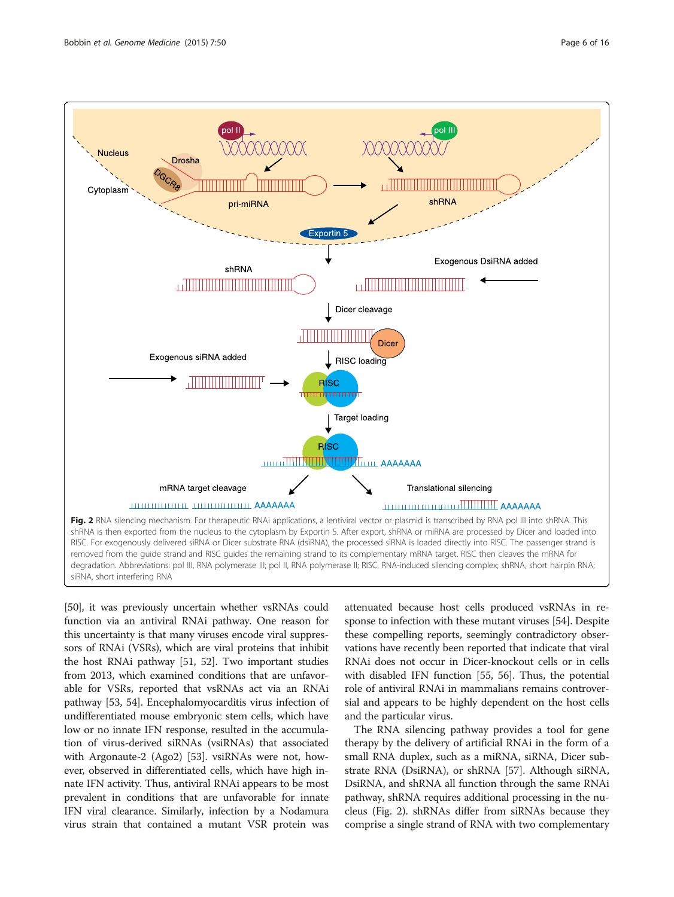<span id="page-5-0"></span>

[[50](#page-12-0)], it was previously uncertain whether vsRNAs could function via an antiviral RNAi pathway. One reason for this uncertainty is that many viruses encode viral suppressors of RNAi (VSRs), which are viral proteins that inhibit the host RNAi pathway [[51](#page-12-0), [52](#page-12-0)]. Two important studies from 2013, which examined conditions that are unfavorable for VSRs, reported that vsRNAs act via an RNAi pathway [\[53, 54](#page-12-0)]. Encephalomyocarditis virus infection of undifferentiated mouse embryonic stem cells, which have low or no innate IFN response, resulted in the accumulation of virus-derived siRNAs (vsiRNAs) that associated with Argonaute-2 (Ago2) [[53](#page-12-0)]. vsiRNAs were not, however, observed in differentiated cells, which have high innate IFN activity. Thus, antiviral RNAi appears to be most prevalent in conditions that are unfavorable for innate IFN viral clearance. Similarly, infection by a Nodamura virus strain that contained a mutant VSR protein was attenuated because host cells produced vsRNAs in response to infection with these mutant viruses [\[54\]](#page-12-0). Despite these compelling reports, seemingly contradictory observations have recently been reported that indicate that viral RNAi does not occur in Dicer-knockout cells or in cells with disabled IFN function [\[55, 56\]](#page-12-0). Thus, the potential role of antiviral RNAi in mammalians remains controversial and appears to be highly dependent on the host cells and the particular virus.

The RNA silencing pathway provides a tool for gene therapy by the delivery of artificial RNAi in the form of a small RNA duplex, such as a miRNA, siRNA, Dicer substrate RNA (DsiRNA), or shRNA [\[57\]](#page-12-0). Although siRNA, DsiRNA, and shRNA all function through the same RNAi pathway, shRNA requires additional processing in the nucleus (Fig. 2). shRNAs differ from siRNAs because they comprise a single strand of RNA with two complementary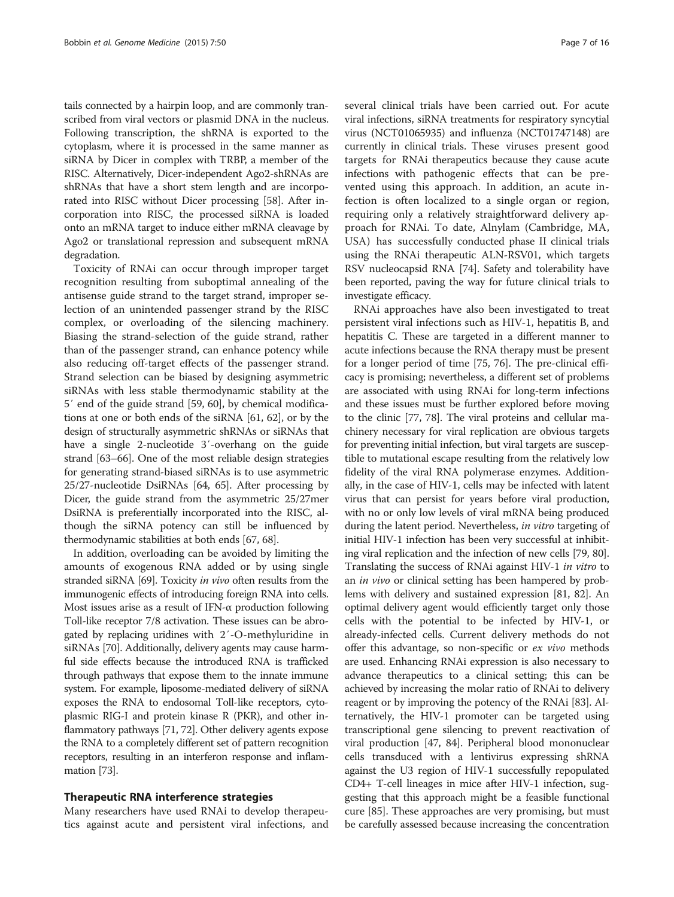tails connected by a hairpin loop, and are commonly transcribed from viral vectors or plasmid DNA in the nucleus. Following transcription, the shRNA is exported to the cytoplasm, where it is processed in the same manner as siRNA by Dicer in complex with TRBP, a member of the RISC. Alternatively, Dicer-independent Ago2-shRNAs are shRNAs that have a short stem length and are incorporated into RISC without Dicer processing [[58](#page-12-0)]. After incorporation into RISC, the processed siRNA is loaded onto an mRNA target to induce either mRNA cleavage by Ago2 or translational repression and subsequent mRNA degradation.

Toxicity of RNAi can occur through improper target recognition resulting from suboptimal annealing of the antisense guide strand to the target strand, improper selection of an unintended passenger strand by the RISC complex, or overloading of the silencing machinery. Biasing the strand-selection of the guide strand, rather than of the passenger strand, can enhance potency while also reducing off-target effects of the passenger strand. Strand selection can be biased by designing asymmetric siRNAs with less stable thermodynamic stability at the 5′ end of the guide strand [[59](#page-12-0), [60](#page-12-0)], by chemical modifications at one or both ends of the siRNA [\[61, 62\]](#page-12-0), or by the design of structurally asymmetric shRNAs or siRNAs that have a single 2-nucleotide 3′-overhang on the guide strand [\[63](#page-12-0)–[66](#page-12-0)]. One of the most reliable design strategies for generating strand-biased siRNAs is to use asymmetric 25/27-nucleotide DsiRNAs [[64, 65\]](#page-12-0). After processing by Dicer, the guide strand from the asymmetric 25/27mer DsiRNA is preferentially incorporated into the RISC, although the siRNA potency can still be influenced by thermodynamic stabilities at both ends [\[67](#page-12-0), [68](#page-12-0)].

In addition, overloading can be avoided by limiting the amounts of exogenous RNA added or by using single stranded siRNA [[69](#page-12-0)]. Toxicity in vivo often results from the immunogenic effects of introducing foreign RNA into cells. Most issues arise as a result of IFN-α production following Toll-like receptor 7/8 activation. These issues can be abrogated by replacing uridines with 2′-O-methyluridine in siRNAs [\[70\]](#page-12-0). Additionally, delivery agents may cause harmful side effects because the introduced RNA is trafficked through pathways that expose them to the innate immune system. For example, liposome-mediated delivery of siRNA exposes the RNA to endosomal Toll-like receptors, cytoplasmic RIG-I and protein kinase R (PKR), and other inflammatory pathways [\[71, 72\]](#page-12-0). Other delivery agents expose the RNA to a completely different set of pattern recognition receptors, resulting in an interferon response and inflammation [\[73](#page-12-0)].

#### Therapeutic RNA interference strategies

Many researchers have used RNAi to develop therapeutics against acute and persistent viral infections, and

several clinical trials have been carried out. For acute viral infections, siRNA treatments for respiratory syncytial virus (NCT01065935) and influenza (NCT01747148) are currently in clinical trials. These viruses present good targets for RNAi therapeutics because they cause acute infections with pathogenic effects that can be prevented using this approach. In addition, an acute infection is often localized to a single organ or region, requiring only a relatively straightforward delivery approach for RNAi. To date, Alnylam (Cambridge, MA, USA) has successfully conducted phase II clinical trials using the RNAi therapeutic ALN-RSV01, which targets RSV nucleocapsid RNA [\[74\]](#page-12-0). Safety and tolerability have been reported, paving the way for future clinical trials to investigate efficacy.

RNAi approaches have also been investigated to treat persistent viral infections such as HIV-1, hepatitis B, and hepatitis C. These are targeted in a different manner to acute infections because the RNA therapy must be present for a longer period of time [[75](#page-12-0), [76](#page-12-0)]. The pre-clinical efficacy is promising; nevertheless, a different set of problems are associated with using RNAi for long-term infections and these issues must be further explored before moving to the clinic [[77,](#page-12-0) [78\]](#page-13-0). The viral proteins and cellular machinery necessary for viral replication are obvious targets for preventing initial infection, but viral targets are susceptible to mutational escape resulting from the relatively low fidelity of the viral RNA polymerase enzymes. Additionally, in the case of HIV-1, cells may be infected with latent virus that can persist for years before viral production, with no or only low levels of viral mRNA being produced during the latent period. Nevertheless, in vitro targeting of initial HIV-1 infection has been very successful at inhibiting viral replication and the infection of new cells [\[79, 80](#page-13-0)]. Translating the success of RNAi against HIV-1 in vitro to an in vivo or clinical setting has been hampered by problems with delivery and sustained expression [\[81, 82](#page-13-0)]. An optimal delivery agent would efficiently target only those cells with the potential to be infected by HIV-1, or already-infected cells. Current delivery methods do not offer this advantage, so non-specific or ex vivo methods are used. Enhancing RNAi expression is also necessary to advance therapeutics to a clinical setting; this can be achieved by increasing the molar ratio of RNAi to delivery reagent or by improving the potency of the RNAi [\[83\]](#page-13-0). Alternatively, the HIV-1 promoter can be targeted using transcriptional gene silencing to prevent reactivation of viral production [\[47,](#page-12-0) [84\]](#page-13-0). Peripheral blood mononuclear cells transduced with a lentivirus expressing shRNA against the U3 region of HIV-1 successfully repopulated CD4+ T-cell lineages in mice after HIV-1 infection, suggesting that this approach might be a feasible functional cure [\[85\]](#page-13-0). These approaches are very promising, but must be carefully assessed because increasing the concentration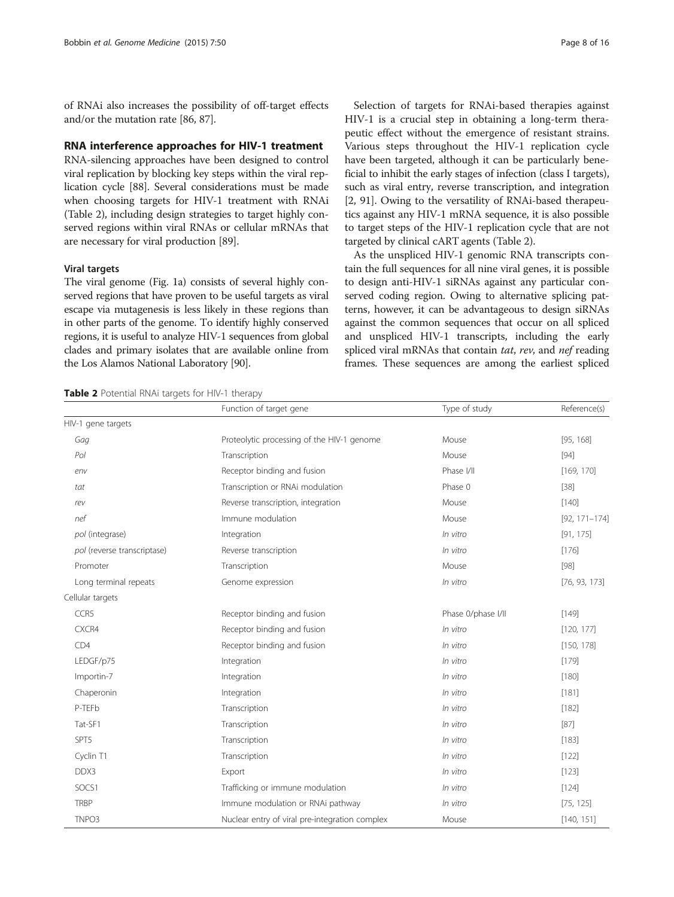of RNAi also increases the possibility of off-target effects and/or the mutation rate [[86](#page-13-0), [87\]](#page-13-0).

### RNA interference approaches for HIV-1 treatment

RNA-silencing approaches have been designed to control viral replication by blocking key steps within the viral replication cycle [\[88\]](#page-13-0). Several considerations must be made when choosing targets for HIV-1 treatment with RNAi (Table 2), including design strategies to target highly conserved regions within viral RNAs or cellular mRNAs that are necessary for viral production [\[89](#page-13-0)].

#### Viral targets

The viral genome (Fig. [1a\)](#page-1-0) consists of several highly conserved regions that have proven to be useful targets as viral escape via mutagenesis is less likely in these regions than in other parts of the genome. To identify highly conserved regions, it is useful to analyze HIV-1 sequences from global clades and primary isolates that are available online from the Los Alamos National Laboratory [\[90](#page-13-0)].

Table 2 Potential RNAi targets for HIV-1 therapy

Selection of targets for RNAi-based therapies against HIV-1 is a crucial step in obtaining a long-term therapeutic effect without the emergence of resistant strains. Various steps throughout the HIV-1 replication cycle have been targeted, although it can be particularly beneficial to inhibit the early stages of infection (class I targets), such as viral entry, reverse transcription, and integration [[2,](#page-11-0) [91\]](#page-13-0). Owing to the versatility of RNAi-based therapeutics against any HIV-1 mRNA sequence, it is also possible to target steps of the HIV-1 replication cycle that are not targeted by clinical cART agents (Table 2).

As the unspliced HIV-1 genomic RNA transcripts contain the full sequences for all nine viral genes, it is possible to design anti-HIV-1 siRNAs against any particular conserved coding region. Owing to alternative splicing patterns, however, it can be advantageous to design siRNAs against the common sequences that occur on all spliced and unspliced HIV-1 transcripts, including the early spliced viral mRNAs that contain tat, rev, and nef reading frames. These sequences are among the earliest spliced

|                             | Function of target gene                        | Type of study      | Reference(s)      |
|-----------------------------|------------------------------------------------|--------------------|-------------------|
| HIV-1 gene targets          |                                                |                    |                   |
| Gag                         | Proteolytic processing of the HIV-1 genome     | Mouse              | [95, 168]         |
| Pol                         | Transcription                                  | Mouse              | $[94]$            |
| env                         | Receptor binding and fusion                    | Phase I/II         | [169, 170]        |
| tat                         | Transcription or RNAi modulation               | Phase 0            | $[38]$            |
| rev                         | Reverse transcription, integration             | Mouse              | $[140]$           |
| nef                         | Immune modulation                              | Mouse              | $[92, 171 - 174]$ |
| pol (integrase)             | Integration                                    | In vitro           | [91, 175]         |
| pol (reverse transcriptase) | Reverse transcription                          | In vitro           | [176]             |
| Promoter                    | Transcription                                  | Mouse              | $[98]$            |
| Long terminal repeats       | Genome expression                              | In vitro           | [76, 93, 173]     |
| Cellular targets            |                                                |                    |                   |
| CCR5                        | Receptor binding and fusion                    | Phase 0/phase I/II | [149]             |
| CXCR4                       | Receptor binding and fusion                    | In vitro           | [120, 177]        |
| CD4                         | Receptor binding and fusion                    | In vitro           | [150, 178]        |
| LEDGF/p75                   | Integration                                    | In vitro           | [179]             |
| Importin-7                  | Integration                                    | In vitro           | $[180]$           |
| Chaperonin                  | Integration                                    | In vitro           | [181]             |
| P-TEFb                      | Transcription                                  | In vitro           | [182]             |
| Tat-SF1                     | Transcription                                  | In vitro           | $[87]$            |
| SPT5                        | Transcription                                  | In vitro           | $[183]$           |
| Cyclin T1                   | Transcription                                  | In vitro           | $[122]$           |
| DDX3                        | Export                                         | In vitro           | [123]             |
| SOCS1                       | Trafficking or immune modulation               | In vitro           | $[124]$           |
| <b>TRBP</b>                 | Immune modulation or RNAi pathway              | In vitro           | [75, 125]         |
| TNPO3                       | Nuclear entry of viral pre-integration complex | Mouse              | [140, 151]        |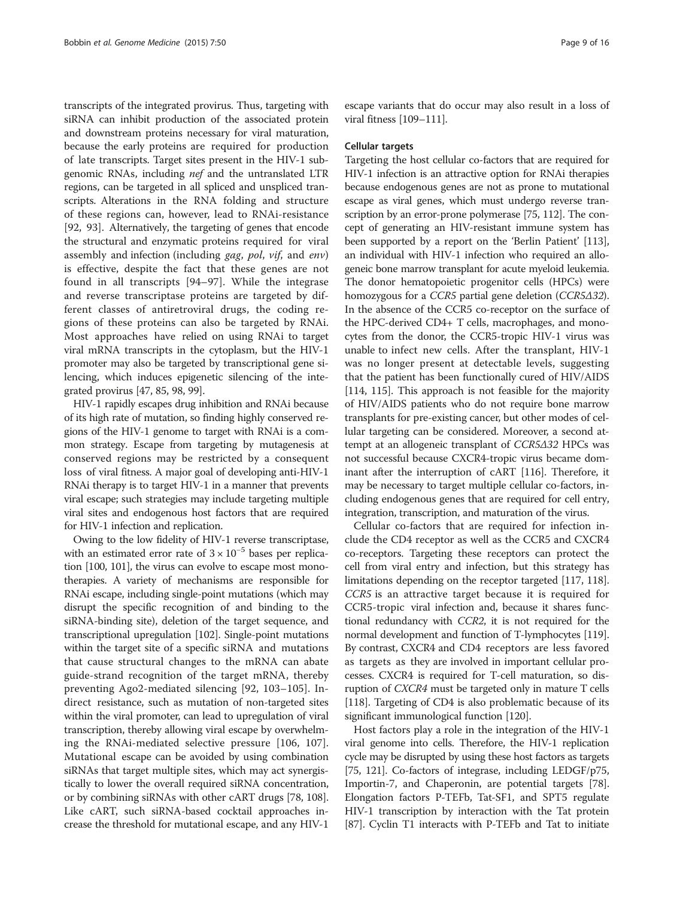transcripts of the integrated provirus. Thus, targeting with siRNA can inhibit production of the associated protein and downstream proteins necessary for viral maturation, because the early proteins are required for production of late transcripts. Target sites present in the HIV-1 subgenomic RNAs, including nef and the untranslated LTR regions, can be targeted in all spliced and unspliced transcripts. Alterations in the RNA folding and structure of these regions can, however, lead to RNAi-resistance [[92, 93\]](#page-13-0). Alternatively, the targeting of genes that encode the structural and enzymatic proteins required for viral assembly and infection (including gag, pol, vif, and env) is effective, despite the fact that these genes are not found in all transcripts [[94](#page-13-0)–[97\]](#page-13-0). While the integrase and reverse transcriptase proteins are targeted by different classes of antiretroviral drugs, the coding regions of these proteins can also be targeted by RNAi. Most approaches have relied on using RNAi to target viral mRNA transcripts in the cytoplasm, but the HIV-1 promoter may also be targeted by transcriptional gene silencing, which induces epigenetic silencing of the integrated provirus [\[47,](#page-12-0) [85](#page-13-0), [98, 99\]](#page-13-0).

HIV-1 rapidly escapes drug inhibition and RNAi because of its high rate of mutation, so finding highly conserved regions of the HIV-1 genome to target with RNAi is a common strategy. Escape from targeting by mutagenesis at conserved regions may be restricted by a consequent loss of viral fitness. A major goal of developing anti-HIV-1 RNAi therapy is to target HIV-1 in a manner that prevents viral escape; such strategies may include targeting multiple viral sites and endogenous host factors that are required for HIV-1 infection and replication.

Owing to the low fidelity of HIV-1 reverse transcriptase, with an estimated error rate of  $3 \times 10^{-5}$  bases per replication [\[100, 101\]](#page-13-0), the virus can evolve to escape most monotherapies. A variety of mechanisms are responsible for RNAi escape, including single-point mutations (which may disrupt the specific recognition of and binding to the siRNA-binding site), deletion of the target sequence, and transcriptional upregulation [\[102\]](#page-13-0). Single-point mutations within the target site of a specific siRNA and mutations that cause structural changes to the mRNA can abate guide-strand recognition of the target mRNA, thereby preventing Ago2-mediated silencing [[92, 103](#page-13-0)–[105\]](#page-13-0). Indirect resistance, such as mutation of non-targeted sites within the viral promoter, can lead to upregulation of viral transcription, thereby allowing viral escape by overwhelming the RNAi-mediated selective pressure [[106, 107](#page-13-0)]. Mutational escape can be avoided by using combination siRNAs that target multiple sites, which may act synergistically to lower the overall required siRNA concentration, or by combining siRNAs with other cART drugs [\[78](#page-13-0), [108](#page-13-0)]. Like cART, such siRNA-based cocktail approaches increase the threshold for mutational escape, and any HIV-1

escape variants that do occur may also result in a loss of viral fitness [[109](#page-13-0)–[111](#page-13-0)].

#### Cellular targets

Targeting the host cellular co-factors that are required for HIV-1 infection is an attractive option for RNAi therapies because endogenous genes are not as prone to mutational escape as viral genes, which must undergo reverse transcription by an error-prone polymerase [[75](#page-12-0), [112](#page-13-0)]. The concept of generating an HIV-resistant immune system has been supported by a report on the 'Berlin Patient' [[113](#page-13-0)], an individual with HIV-1 infection who required an allogeneic bone marrow transplant for acute myeloid leukemia. The donor hematopoietic progenitor cells (HPCs) were homozygous for a CCR5 partial gene deletion (CCR5Δ32). In the absence of the CCR5 co-receptor on the surface of the HPC-derived CD4+ T cells, macrophages, and monocytes from the donor, the CCR5-tropic HIV-1 virus was unable to infect new cells. After the transplant, HIV-1 was no longer present at detectable levels, suggesting that the patient has been functionally cured of HIV/AIDS [[114](#page-13-0), [115](#page-13-0)]. This approach is not feasible for the majority of HIV/AIDS patients who do not require bone marrow transplants for pre-existing cancer, but other modes of cellular targeting can be considered. Moreover, a second attempt at an allogeneic transplant of CCR5Δ32 HPCs was not successful because CXCR4-tropic virus became dominant after the interruption of cART [[116](#page-13-0)]. Therefore, it may be necessary to target multiple cellular co-factors, including endogenous genes that are required for cell entry, integration, transcription, and maturation of the virus.

Cellular co-factors that are required for infection include the CD4 receptor as well as the CCR5 and CXCR4 co-receptors. Targeting these receptors can protect the cell from viral entry and infection, but this strategy has limitations depending on the receptor targeted [\[117, 118](#page-13-0)]. CCR5 is an attractive target because it is required for CCR5-tropic viral infection and, because it shares functional redundancy with CCR2, it is not required for the normal development and function of T-lymphocytes [\[119](#page-13-0)]. By contrast, CXCR4 and CD4 receptors are less favored as targets as they are involved in important cellular processes. CXCR4 is required for T-cell maturation, so disruption of CXCR4 must be targeted only in mature T cells [[118](#page-13-0)]. Targeting of CD4 is also problematic because of its significant immunological function [\[120](#page-13-0)].

Host factors play a role in the integration of the HIV-1 viral genome into cells. Therefore, the HIV-1 replication cycle may be disrupted by using these host factors as targets [[75](#page-12-0), [121](#page-13-0)]. Co-factors of integrase, including LEDGF/p75, Importin-7, and Chaperonin, are potential targets [[78](#page-13-0)]. Elongation factors P-TEFb, Tat-SF1, and SPT5 regulate HIV-1 transcription by interaction with the Tat protein [[87](#page-13-0)]. Cyclin T1 interacts with P-TEFb and Tat to initiate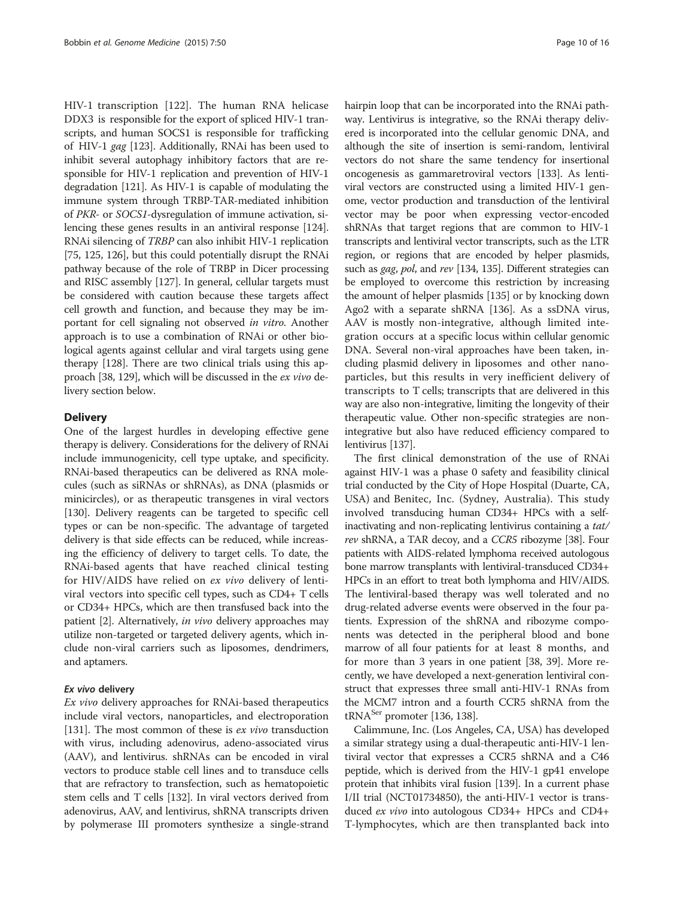HIV-1 transcription [[122\]](#page-13-0). The human RNA helicase DDX3 is responsible for the export of spliced HIV-1 transcripts, and human SOCS1 is responsible for trafficking of HIV-1 gag [[123](#page-13-0)]. Additionally, RNAi has been used to inhibit several autophagy inhibitory factors that are responsible for HIV-1 replication and prevention of HIV-1 degradation [\[121\]](#page-13-0). As HIV-1 is capable of modulating the immune system through TRBP-TAR-mediated inhibition of PKR- or SOCS1-dysregulation of immune activation, silencing these genes results in an antiviral response [[124](#page-13-0)]. RNAi silencing of TRBP can also inhibit HIV-1 replication [[75](#page-12-0), [125](#page-13-0), [126\]](#page-13-0), but this could potentially disrupt the RNAi pathway because of the role of TRBP in Dicer processing and RISC assembly [\[127\]](#page-14-0). In general, cellular targets must be considered with caution because these targets affect cell growth and function, and because they may be important for cell signaling not observed in vitro. Another approach is to use a combination of RNAi or other biological agents against cellular and viral targets using gene therapy [\[128](#page-14-0)]. There are two clinical trials using this approach [\[38,](#page-12-0) [129\]](#page-14-0), which will be discussed in the ex vivo delivery section below.

#### **Delivery**

One of the largest hurdles in developing effective gene therapy is delivery. Considerations for the delivery of RNAi include immunogenicity, cell type uptake, and specificity. RNAi-based therapeutics can be delivered as RNA molecules (such as siRNAs or shRNAs), as DNA (plasmids or minicircles), or as therapeutic transgenes in viral vectors [[130](#page-14-0)]. Delivery reagents can be targeted to specific cell types or can be non-specific. The advantage of targeted delivery is that side effects can be reduced, while increasing the efficiency of delivery to target cells. To date, the RNAi-based agents that have reached clinical testing for HIV/AIDS have relied on ex vivo delivery of lentiviral vectors into specific cell types, such as CD4+ T cells or CD34+ HPCs, which are then transfused back into the patient [[2\]](#page-11-0). Alternatively, in vivo delivery approaches may utilize non-targeted or targeted delivery agents, which include non-viral carriers such as liposomes, dendrimers, and aptamers.

#### Ex vivo delivery

Ex vivo delivery approaches for RNAi-based therapeutics include viral vectors, nanoparticles, and electroporation [[131\]](#page-14-0). The most common of these is ex vivo transduction with virus, including adenovirus, adeno-associated virus (AAV), and lentivirus. shRNAs can be encoded in viral vectors to produce stable cell lines and to transduce cells that are refractory to transfection, such as hematopoietic stem cells and T cells [[132](#page-14-0)]. In viral vectors derived from adenovirus, AAV, and lentivirus, shRNA transcripts driven by polymerase III promoters synthesize a single-strand hairpin loop that can be incorporated into the RNAi pathway. Lentivirus is integrative, so the RNAi therapy delivered is incorporated into the cellular genomic DNA, and although the site of insertion is semi-random, lentiviral vectors do not share the same tendency for insertional oncogenesis as gammaretroviral vectors [[133](#page-14-0)]. As lentiviral vectors are constructed using a limited HIV-1 genome, vector production and transduction of the lentiviral vector may be poor when expressing vector-encoded shRNAs that target regions that are common to HIV-1 transcripts and lentiviral vector transcripts, such as the LTR region, or regions that are encoded by helper plasmids, such as *gag*, *pol*, and *rev* [[134, 135\]](#page-14-0). Different strategies can be employed to overcome this restriction by increasing the amount of helper plasmids [\[135\]](#page-14-0) or by knocking down Ago2 with a separate shRNA [[136](#page-14-0)]. As a ssDNA virus, AAV is mostly non-integrative, although limited integration occurs at a specific locus within cellular genomic DNA. Several non-viral approaches have been taken, including plasmid delivery in liposomes and other nanoparticles, but this results in very inefficient delivery of transcripts to T cells; transcripts that are delivered in this way are also non-integrative, limiting the longevity of their therapeutic value. Other non-specific strategies are nonintegrative but also have reduced efficiency compared to lentivirus [\[137](#page-14-0)].

The first clinical demonstration of the use of RNAi against HIV-1 was a phase 0 safety and feasibility clinical trial conducted by the City of Hope Hospital (Duarte, CA, USA) and Benitec, Inc. (Sydney, Australia). This study involved transducing human CD34+ HPCs with a selfinactivating and non-replicating lentivirus containing a tat/ rev shRNA, a TAR decoy, and a CCR5 ribozyme [\[38\]](#page-12-0). Four patients with AIDS-related lymphoma received autologous bone marrow transplants with lentiviral-transduced CD34+ HPCs in an effort to treat both lymphoma and HIV/AIDS. The lentiviral-based therapy was well tolerated and no drug-related adverse events were observed in the four patients. Expression of the shRNA and ribozyme components was detected in the peripheral blood and bone marrow of all four patients for at least 8 months, and for more than 3 years in one patient [[38](#page-12-0), [39\]](#page-12-0). More recently, we have developed a next-generation lentiviral construct that expresses three small anti-HIV-1 RNAs from the MCM7 intron and a fourth CCR5 shRNA from the  $t\text{RNA}^{\text{Ser}}$  promoter [[136](#page-14-0), [138](#page-14-0)].

Calimmune, Inc. (Los Angeles, CA, USA) has developed a similar strategy using a dual-therapeutic anti-HIV-1 lentiviral vector that expresses a CCR5 shRNA and a C46 peptide, which is derived from the HIV-1 gp41 envelope protein that inhibits viral fusion [[139](#page-14-0)]. In a current phase I/II trial (NCT01734850), the anti-HIV-1 vector is transduced ex vivo into autologous CD34+ HPCs and CD4+ T-lymphocytes, which are then transplanted back into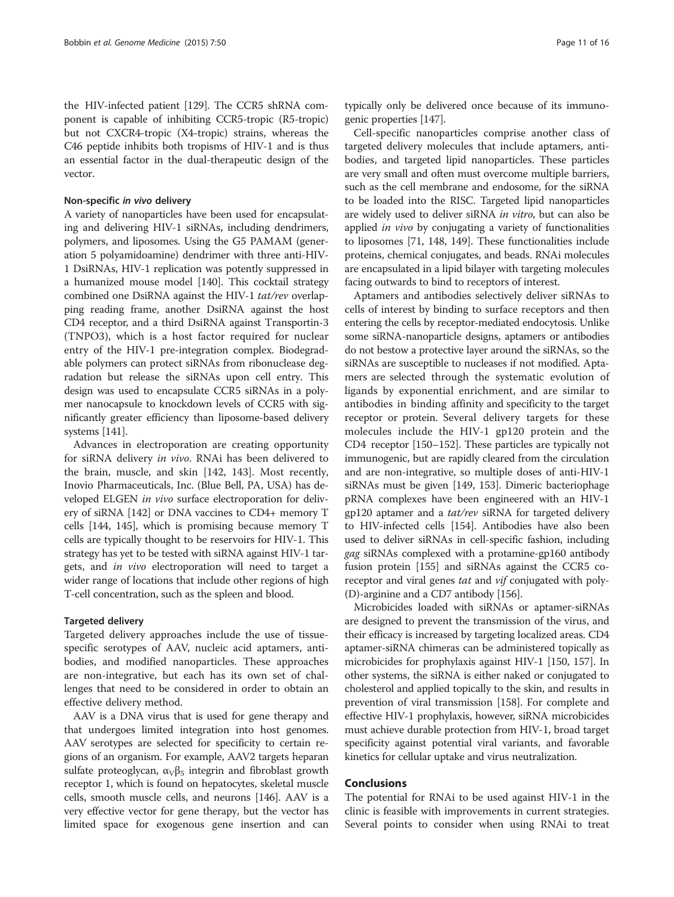the HIV-infected patient [[129](#page-14-0)]. The CCR5 shRNA component is capable of inhibiting CCR5-tropic (R5-tropic) but not CXCR4-tropic (X4-tropic) strains, whereas the C46 peptide inhibits both tropisms of HIV-1 and is thus an essential factor in the dual-therapeutic design of the vector.

#### Non-specific in vivo delivery

A variety of nanoparticles have been used for encapsulating and delivering HIV-1 siRNAs, including dendrimers, polymers, and liposomes. Using the G5 PAMAM (generation 5 polyamidoamine) dendrimer with three anti-HIV-1 DsiRNAs, HIV-1 replication was potently suppressed in a humanized mouse model [[140](#page-14-0)]. This cocktail strategy combined one DsiRNA against the HIV-1 tat/rev overlapping reading frame, another DsiRNA against the host CD4 receptor, and a third DsiRNA against Transportin-3 (TNPO3), which is a host factor required for nuclear entry of the HIV-1 pre-integration complex. Biodegradable polymers can protect siRNAs from ribonuclease degradation but release the siRNAs upon cell entry. This design was used to encapsulate CCR5 siRNAs in a polymer nanocapsule to knockdown levels of CCR5 with significantly greater efficiency than liposome-based delivery systems [\[141\]](#page-14-0).

Advances in electroporation are creating opportunity for siRNA delivery in vivo. RNAi has been delivered to the brain, muscle, and skin [\[142, 143\]](#page-14-0). Most recently, Inovio Pharmaceuticals, Inc. (Blue Bell, PA, USA) has developed ELGEN in vivo surface electroporation for delivery of siRNA [[142](#page-14-0)] or DNA vaccines to CD4+ memory T cells [\[144](#page-14-0), [145\]](#page-14-0), which is promising because memory T cells are typically thought to be reservoirs for HIV-1. This strategy has yet to be tested with siRNA against HIV-1 targets, and in vivo electroporation will need to target a wider range of locations that include other regions of high T-cell concentration, such as the spleen and blood.

#### Targeted delivery

Targeted delivery approaches include the use of tissuespecific serotypes of AAV, nucleic acid aptamers, antibodies, and modified nanoparticles. These approaches are non-integrative, but each has its own set of challenges that need to be considered in order to obtain an effective delivery method.

AAV is a DNA virus that is used for gene therapy and that undergoes limited integration into host genomes. AAV serotypes are selected for specificity to certain regions of an organism. For example, AAV2 targets heparan sulfate proteoglycan,  $\alpha_{\rm V}\beta_5$  integrin and fibroblast growth receptor 1, which is found on hepatocytes, skeletal muscle cells, smooth muscle cells, and neurons [[146](#page-14-0)]. AAV is a very effective vector for gene therapy, but the vector has limited space for exogenous gene insertion and can

typically only be delivered once because of its immunogenic properties [\[147\]](#page-14-0).

Cell-specific nanoparticles comprise another class of targeted delivery molecules that include aptamers, antibodies, and targeted lipid nanoparticles. These particles are very small and often must overcome multiple barriers, such as the cell membrane and endosome, for the siRNA to be loaded into the RISC. Targeted lipid nanoparticles are widely used to deliver siRNA in vitro, but can also be applied in vivo by conjugating a variety of functionalities to liposomes [\[71,](#page-12-0) [148, 149](#page-14-0)]. These functionalities include proteins, chemical conjugates, and beads. RNAi molecules are encapsulated in a lipid bilayer with targeting molecules facing outwards to bind to receptors of interest.

Aptamers and antibodies selectively deliver siRNAs to cells of interest by binding to surface receptors and then entering the cells by receptor-mediated endocytosis. Unlike some siRNA-nanoparticle designs, aptamers or antibodies do not bestow a protective layer around the siRNAs, so the siRNAs are susceptible to nucleases if not modified. Aptamers are selected through the systematic evolution of ligands by exponential enrichment, and are similar to antibodies in binding affinity and specificity to the target receptor or protein. Several delivery targets for these molecules include the HIV-1 gp120 protein and the CD4 receptor [[150](#page-14-0)–[152](#page-14-0)]. These particles are typically not immunogenic, but are rapidly cleared from the circulation and are non-integrative, so multiple doses of anti-HIV-1 siRNAs must be given [\[149, 153](#page-14-0)]. Dimeric bacteriophage pRNA complexes have been engineered with an HIV-1 gp120 aptamer and a tat/rev siRNA for targeted delivery to HIV-infected cells [\[154](#page-14-0)]. Antibodies have also been used to deliver siRNAs in cell-specific fashion, including gag siRNAs complexed with a protamine-gp160 antibody fusion protein [[155](#page-14-0)] and siRNAs against the CCR5 coreceptor and viral genes tat and vif conjugated with poly-(D)-arginine and a CD7 antibody [\[156\]](#page-14-0).

Microbicides loaded with siRNAs or aptamer-siRNAs are designed to prevent the transmission of the virus, and their efficacy is increased by targeting localized areas. CD4 aptamer-siRNA chimeras can be administered topically as microbicides for prophylaxis against HIV-1 [[150](#page-14-0), [157](#page-14-0)]. In other systems, the siRNA is either naked or conjugated to cholesterol and applied topically to the skin, and results in prevention of viral transmission [\[158\]](#page-14-0). For complete and effective HIV-1 prophylaxis, however, siRNA microbicides must achieve durable protection from HIV-1, broad target specificity against potential viral variants, and favorable kinetics for cellular uptake and virus neutralization.

#### Conclusions

The potential for RNAi to be used against HIV-1 in the clinic is feasible with improvements in current strategies. Several points to consider when using RNAi to treat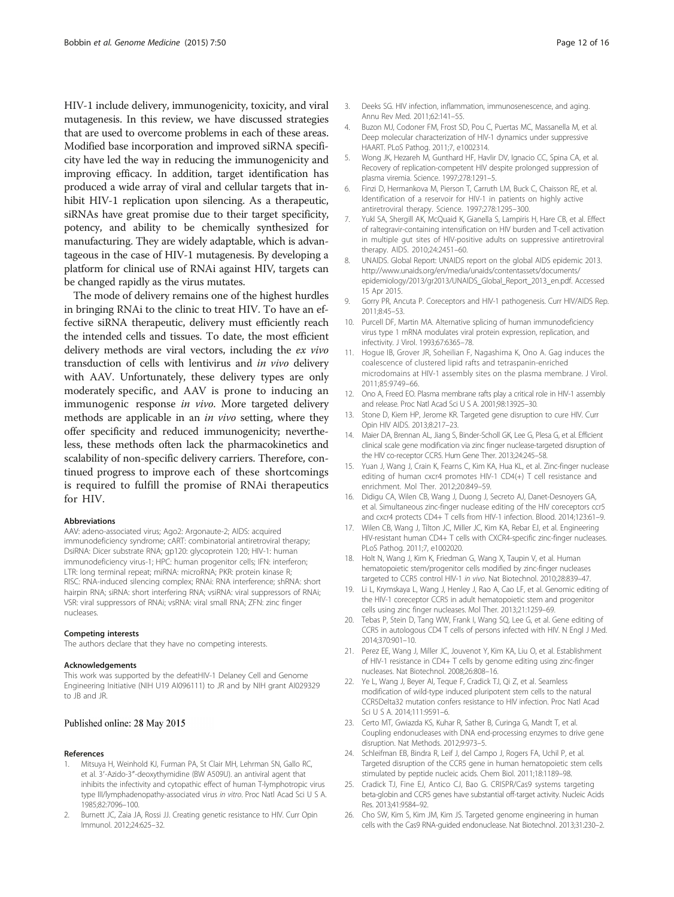<span id="page-11-0"></span>HIV-1 include delivery, immunogenicity, toxicity, and viral mutagenesis. In this review, we have discussed strategies that are used to overcome problems in each of these areas. Modified base incorporation and improved siRNA specificity have led the way in reducing the immunogenicity and improving efficacy. In addition, target identification has produced a wide array of viral and cellular targets that inhibit HIV-1 replication upon silencing. As a therapeutic, siRNAs have great promise due to their target specificity, potency, and ability to be chemically synthesized for manufacturing. They are widely adaptable, which is advantageous in the case of HIV-1 mutagenesis. By developing a platform for clinical use of RNAi against HIV, targets can be changed rapidly as the virus mutates.

The mode of delivery remains one of the highest hurdles in bringing RNAi to the clinic to treat HIV. To have an effective siRNA therapeutic, delivery must efficiently reach the intended cells and tissues. To date, the most efficient delivery methods are viral vectors, including the ex vivo transduction of cells with lentivirus and in vivo delivery with AAV. Unfortunately, these delivery types are only moderately specific, and AAV is prone to inducing an immunogenic response in vivo. More targeted delivery methods are applicable in an in vivo setting, where they offer specificity and reduced immunogenicity; nevertheless, these methods often lack the pharmacokinetics and scalability of non-specific delivery carriers. Therefore, continued progress to improve each of these shortcomings is required to fulfill the promise of RNAi therapeutics for HIV.

#### Abbreviations

AAV: adeno-associated virus; Ago2: Argonaute-2; AIDS: acquired immunodeficiency syndrome; cART: combinatorial antiretroviral therapy; DsiRNA: Dicer substrate RNA; gp120: glycoprotein 120; HIV-1: human immunodeficiency virus-1; HPC: human progenitor cells; IFN: interferon; LTR: long terminal repeat; miRNA: microRNA; PKR: protein kinase R; RISC: RNA-induced silencing complex; RNAi: RNA interference; shRNA: short hairpin RNA; siRNA: short interfering RNA; vsiRNA: viral suppressors of RNAi; VSR: viral suppressors of RNAi; vsRNA: viral small RNA; ZFN: zinc finger nucleases.

#### Competing interests

The authors declare that they have no competing interests.

#### Acknowledgements

This work was supported by the defeatHIV-1 Delaney Cell and Genome Engineering Initiative (NIH U19 AI096111) to JR and by NIH grant AI029329 to JB and JR.

#### Published online: 28 May 2015

#### References

- 1. Mitsuya H, Weinhold KJ, Furman PA, St Clair MH, Lehrman SN, Gallo RC, et al. 3′-Azido-3″-deoxythymidine (BW A509U). an antiviral agent that inhibits the infectivity and cytopathic effect of human T-lymphotropic virus type III/lymphadenopathy-associated virus in vitro. Proc Natl Acad Sci U S A. 1985;82:7096–100.
- 2. Burnett JC, Zaia JA, Rossi JJ. Creating genetic resistance to HIV. Curr Opin Immunol. 2012;24:625–32.
- 3. Deeks SG. HIV infection, inflammation, immunosenescence, and aging. Annu Rev Med. 2011;62:141–55.
- 4. Buzon MJ, Codoner FM, Frost SD, Pou C, Puertas MC, Massanella M, et al. Deep molecular characterization of HIV-1 dynamics under suppressive HAART. PLoS Pathog. 2011;7, e1002314.
- Wong JK, Hezareh M, Gunthard HF, Havlir DV, Ignacio CC, Spina CA, et al. Recovery of replication-competent HIV despite prolonged suppression of plasma viremia. Science. 1997;278:1291–5.
- 6. Finzi D, Hermankova M, Pierson T, Carruth LM, Buck C, Chaisson RE, et al. Identification of a reservoir for HIV-1 in patients on highly active antiretroviral therapy. Science. 1997;278:1295–300.
- 7. Yukl SA, Shergill AK, McQuaid K, Gianella S, Lampiris H, Hare CB, et al. Effect of raltegravir-containing intensification on HIV burden and T-cell activation in multiple gut sites of HIV-positive adults on suppressive antiretroviral therapy. AIDS. 2010;24:2451–60.
- 8. UNAIDS. Global Report: UNAIDS report on the global AIDS epidemic 2013. [http://www.unaids.org/en/media/unaids/contentassets/documents/](http://www.unaids.org/en/media/unaids/contentassets/documents/epidemiology/2013/gr2013/UNAIDS_Global_Report_2013_en.pdf) [epidemiology/2013/gr2013/UNAIDS\\_Global\\_Report\\_2013\\_en.pdf.](http://www.unaids.org/en/media/unaids/contentassets/documents/epidemiology/2013/gr2013/UNAIDS_Global_Report_2013_en.pdf) Accessed 15 Apr 2015.
- 9. Gorry PR, Ancuta P. Coreceptors and HIV-1 pathogenesis. Curr HIV/AIDS Rep. 2011;8:45–53.
- 10. Purcell DF, Martin MA. Alternative splicing of human immunodeficiency virus type 1 mRNA modulates viral protein expression, replication, and infectivity. J Virol. 1993;67:6365–78.
- 11. Hogue IB, Grover JR, Soheilian F, Nagashima K, Ono A. Gag induces the coalescence of clustered lipid rafts and tetraspanin-enriched microdomains at HIV-1 assembly sites on the plasma membrane. J Virol. 2011;85:9749–66.
- 12. Ono A, Freed EO. Plasma membrane rafts play a critical role in HIV-1 assembly and release. Proc Natl Acad Sci U S A. 2001;98:13925–30.
- 13. Stone D, Kiem HP, Jerome KR. Targeted gene disruption to cure HIV. Curr Opin HIV AIDS. 2013;8:217–23.
- 14. Maier DA, Brennan AL, Jiang S, Binder-Scholl GK, Lee G, Plesa G, et al. Efficient clinical scale gene modification via zinc finger nuclease-targeted disruption of the HIV co-receptor CCR5. Hum Gene Ther. 2013;24:245–58.
- 15. Yuan J, Wang J, Crain K, Fearns C, Kim KA, Hua KL, et al. Zinc-finger nuclease editing of human cxcr4 promotes HIV-1 CD4(+) T cell resistance and enrichment. Mol Ther. 2012;20:849–59.
- 16. Didigu CA, Wilen CB, Wang J, Duong J, Secreto AJ, Danet-Desnoyers GA, et al. Simultaneous zinc-finger nuclease editing of the HIV coreceptors ccr5 and cxcr4 protects CD4+ T cells from HIV-1 infection. Blood. 2014;123:61–9.
- 17. Wilen CB, Wang J, Tilton JC, Miller JC, Kim KA, Rebar EJ, et al. Engineering HIV-resistant human CD4+ T cells with CXCR4-specific zinc-finger nucleases. PLoS Pathog. 2011;7, e1002020.
- 18. Holt N, Wang J, Kim K, Friedman G, Wang X, Taupin V, et al. Human hematopoietic stem/progenitor cells modified by zinc-finger nucleases targeted to CCR5 control HIV-1 in vivo. Nat Biotechnol. 2010;28:839–47.
- 19. Li L, Krymskaya L, Wang J, Henley J, Rao A, Cao LF, et al. Genomic editing of the HIV-1 coreceptor CCR5 in adult hematopoietic stem and progenitor cells using zinc finger nucleases. Mol Ther. 2013;21:1259–69.
- 20. Tebas P, Stein D, Tang WW, Frank I, Wang SQ, Lee G, et al. Gene editing of CCR5 in autologous CD4 T cells of persons infected with HIV. N Engl J Med. 2014;370:901–10.
- 21. Perez EE, Wang J, Miller JC, Jouvenot Y, Kim KA, Liu O, et al. Establishment of HIV-1 resistance in CD4+ T cells by genome editing using zinc-finger nucleases. Nat Biotechnol. 2008;26:808–16.
- 22. Ye L, Wang J, Beyer AI, Teque F, Cradick TJ, Qi Z, et al. Seamless modification of wild-type induced pluripotent stem cells to the natural CCR5Delta32 mutation confers resistance to HIV infection. Proc Natl Acad Sci U S A. 2014;111:9591–6.
- 23. Certo MT, Gwiazda KS, Kuhar R, Sather B, Curinga G, Mandt T, et al. Coupling endonucleases with DNA end-processing enzymes to drive gene disruption. Nat Methods. 2012;9:973–5.
- 24. Schleifman EB, Bindra R, Leif J, del Campo J, Rogers FA, Uchil P, et al. Targeted disruption of the CCR5 gene in human hematopoietic stem cells stimulated by peptide nucleic acids. Chem Biol. 2011;18:1189–98.
- 25. Cradick TJ, Fine EJ, Antico CJ, Bao G. CRISPR/Cas9 systems targeting beta-globin and CCR5 genes have substantial off-target activity. Nucleic Acids Res. 2013;41:9584–92.
- 26. Cho SW, Kim S, Kim JM, Kim JS. Targeted genome engineering in human cells with the Cas9 RNA-guided endonuclease. Nat Biotechnol. 2013;31:230–2.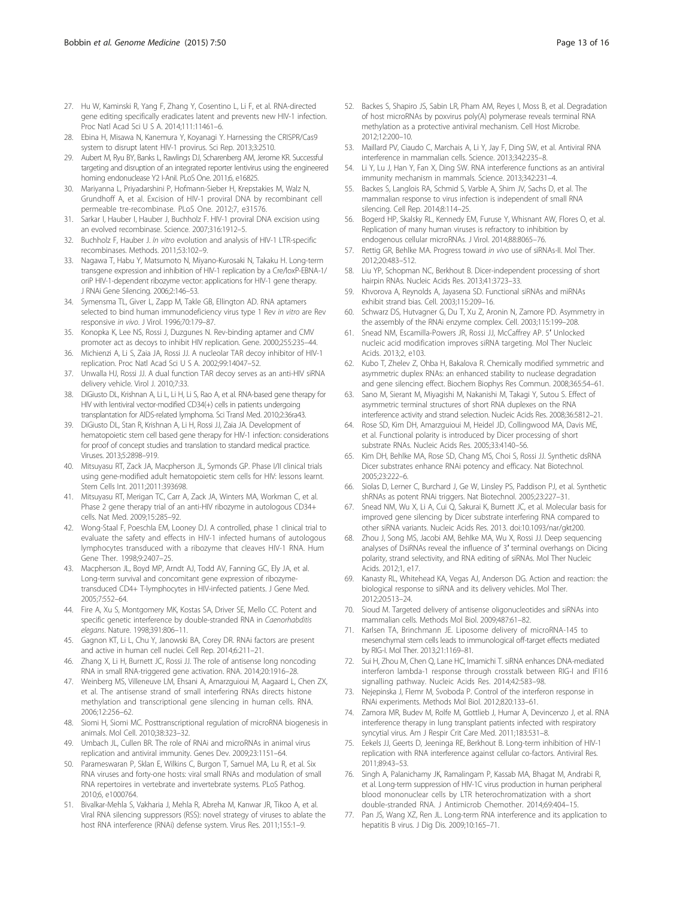- <span id="page-12-0"></span>27. Hu W, Kaminski R, Yang F, Zhang Y, Cosentino L, Li F, et al. RNA-directed gene editing specifically eradicates latent and prevents new HIV-1 infection. Proc Natl Acad Sci U S A. 2014;111:11461–6.
- 28. Ebina H, Misawa N, Kanemura Y, Koyanagi Y. Harnessing the CRISPR/Cas9 system to disrupt latent HIV-1 provirus. Sci Rep. 2013;3:2510.
- 29. Aubert M, Ryu BY, Banks L, Rawlings DJ, Scharenberg AM, Jerome KR. Successful targeting and disruption of an integrated reporter lentivirus using the engineered homing endonuclease Y2 I-AniI. PLoS One. 2011;6, e16825.
- 30. Mariyanna L, Priyadarshini P, Hofmann-Sieber H, Krepstakies M, Walz N, Grundhoff A, et al. Excision of HIV-1 proviral DNA by recombinant cell permeable tre-recombinase. PLoS One. 2012;7, e31576.
- 31. Sarkar I, Hauber I, Hauber J, Buchholz F. HIV-1 proviral DNA excision using an evolved recombinase. Science. 2007;316:1912–5.
- 32. Buchholz F, Hauber J. In vitro evolution and analysis of HIV-1 LTR-specific recombinases. Methods. 2011;53:102–9.
- 33. Nagawa T, Habu Y, Matsumoto N, Miyano-Kurosaki N, Takaku H. Long-term transgene expression and inhibition of HIV-1 replication by a Cre/loxP-EBNA-1/ oriP HIV-1-dependent ribozyme vector: applications for HIV-1 gene therapy. J RNAi Gene Silencing. 2006;2:146–53.
- 34. Symensma TL, Giver L, Zapp M, Takle GB, Ellington AD. RNA aptamers selected to bind human immunodeficiency virus type 1 Rev in vitro are Rev responsive in vivo. J Virol. 1996;70:179–87.
- 35. Konopka K, Lee NS, Rossi J, Duzgunes N. Rev-binding aptamer and CMV promoter act as decoys to inhibit HIV replication. Gene. 2000;255:235–44.
- 36. Michienzi A, Li S, Zaia JA, Rossi JJ. A nucleolar TAR decoy inhibitor of HIV-1 replication. Proc Natl Acad Sci U S A. 2002;99:14047–52.
- 37. Unwalla HJ, Rossi JJ. A dual function TAR decoy serves as an anti-HIV siRNA delivery vehicle. Virol J. 2010;7:33.
- 38. DiGiusto DL, Krishnan A, Li L, Li H, Li S, Rao A, et al. RNA-based gene therapy for HIV with lentiviral vector-modified CD34(+) cells in patients undergoing transplantation for AIDS-related lymphoma. Sci Transl Med. 2010;2:36ra43.
- 39. DiGiusto DL, Stan R, Krishnan A, Li H, Rossi JJ, Zaia JA. Development of hematopoietic stem cell based gene therapy for HIV-1 infection: considerations for proof of concept studies and translation to standard medical practice. Viruses. 2013;5:2898–919.
- 40. Mitsuyasu RT, Zack JA, Macpherson JL, Symonds GP. Phase I/II clinical trials using gene-modified adult hematopoietic stem cells for HIV: lessons learnt. Stem Cells Int. 2011;2011:393698.
- 41. Mitsuyasu RT, Merigan TC, Carr A, Zack JA, Winters MA, Workman C, et al. Phase 2 gene therapy trial of an anti-HIV ribozyme in autologous CD34+ cells. Nat Med. 2009;15:285–92.
- 42. Wong-Staal F, Poeschla EM, Looney DJ. A controlled, phase 1 clinical trial to evaluate the safety and effects in HIV-1 infected humans of autologous lymphocytes transduced with a ribozyme that cleaves HIV-1 RNA. Hum Gene Ther. 1998;9:2407–25.
- 43. Macpherson JL, Boyd MP, Arndt AJ, Todd AV, Fanning GC, Ely JA, et al. Long-term survival and concomitant gene expression of ribozymetransduced CD4+ T-lymphocytes in HIV-infected patients. J Gene Med. 2005;7:552–64.
- 44. Fire A, Xu S, Montgomery MK, Kostas SA, Driver SE, Mello CC. Potent and specific genetic interference by double-stranded RNA in Caenorhabditis elegans. Nature. 1998;391:806–11.
- 45. Gagnon KT, Li L, Chu Y, Janowski BA, Corey DR. RNAi factors are present and active in human cell nuclei. Cell Rep. 2014;6:211–21.
- 46. Zhang X, Li H, Burnett JC, Rossi JJ. The role of antisense long noncoding RNA in small RNA-triggered gene activation. RNA. 2014;20:1916–28.
- 47. Weinberg MS, Villeneuve LM, Ehsani A, Amarzguioui M, Aagaard L, Chen ZX, et al. The antisense strand of small interfering RNAs directs histone methylation and transcriptional gene silencing in human cells. RNA. 2006;12:256–62.
- 48. Siomi H, Siomi MC. Posttranscriptional regulation of microRNA biogenesis in animals. Mol Cell. 2010;38:323–32.
- 49. Umbach JL, Cullen BR. The role of RNAi and microRNAs in animal virus replication and antiviral immunity. Genes Dev. 2009;23:1151–64.
- 50. Parameswaran P, Sklan E, Wilkins C, Burgon T, Samuel MA, Lu R, et al. Six RNA viruses and forty-one hosts: viral small RNAs and modulation of small RNA repertoires in vertebrate and invertebrate systems. PLoS Pathog. 2010;6, e1000764.
- 51. Bivalkar-Mehla S, Vakharia J, Mehla R, Abreha M, Kanwar JR, Tikoo A, et al. Viral RNA silencing suppressors (RSS): novel strategy of viruses to ablate the host RNA interference (RNAi) defense system. Virus Res. 2011;155:1–9.
- 52. Backes S, Shapiro JS, Sabin LR, Pham AM, Reyes I, Moss B, et al. Degradation of host microRNAs by poxvirus poly(A) polymerase reveals terminal RNA methylation as a protective antiviral mechanism. Cell Host Microbe. 2012;12:200–10.
- 53. Maillard PV, Ciaudo C, Marchais A, Li Y, Jay F, Ding SW, et al. Antiviral RNA interference in mammalian cells. Science. 2013;342:235–8.
- 54. Li Y, Lu J, Han Y, Fan X, Ding SW. RNA interference functions as an antiviral immunity mechanism in mammals. Science. 2013;342:231–4.
- 55. Backes S, Langlois RA, Schmid S, Varble A, Shim JV, Sachs D, et al. The mammalian response to virus infection is independent of small RNA silencing. Cell Rep. 2014;8:114–25.
- 56. Bogerd HP, Skalsky RL, Kennedy EM, Furuse Y, Whisnant AW, Flores O, et al. Replication of many human viruses is refractory to inhibition by endogenous cellular microRNAs. J Virol. 2014;88:8065–76.
- 57. Rettig GR, Behlke MA. Progress toward in vivo use of siRNAs-II. Mol Ther. 2012;20:483–512.
- 58. Liu YP, Schopman NC, Berkhout B. Dicer-independent processing of short hairpin RNAs. Nucleic Acids Res. 2013;41:3723–33.
- 59. Khvorova A, Reynolds A, Jayasena SD. Functional siRNAs and miRNAs exhibit strand bias. Cell. 2003;115:209–16.
- 60. Schwarz DS, Hutvagner G, Du T, Xu Z, Aronin N, Zamore PD. Asymmetry in the assembly of the RNAi enzyme complex. Cell. 2003;115:199–208.
- 61. Snead NM, Escamilla-Powers JR, Rossi JJ, McCaffrey AP. 5′ Unlocked nucleic acid modification improves siRNA targeting. Mol Ther Nucleic Acids. 2013;2, e103.
- 62. Kubo T, Zhelev Z, Ohba H, Bakalova R. Chemically modified symmetric and asymmetric duplex RNAs: an enhanced stability to nuclease degradation and gene silencing effect. Biochem Biophys Res Commun. 2008;365:54–61.
- 63. Sano M, Sierant M, Miyagishi M, Nakanishi M, Takagi Y, Sutou S. Effect of asymmetric terminal structures of short RNA duplexes on the RNA interference activity and strand selection. Nucleic Acids Res. 2008;36:5812–21.
- 64. Rose SD, Kim DH, Amarzguioui M, Heidel JD, Collingwood MA, Davis ME, et al. Functional polarity is introduced by Dicer processing of short substrate RNAs. Nucleic Acids Res. 2005;33:4140–56.
- 65. Kim DH, Behlke MA, Rose SD, Chang MS, Choi S, Rossi JJ. Synthetic dsRNA Dicer substrates enhance RNAi potency and efficacy. Nat Biotechnol. 2005;23:222–6.
- 66. Siolas D, Lerner C, Burchard J, Ge W, Linsley PS, Paddison PJ, et al. Synthetic shRNAs as potent RNAi triggers. Nat Biotechnol. 2005;23:227–31.
- 67. Snead NM, Wu X, Li A, Cui Q, Sakurai K, Burnett JC, et al. Molecular basis for improved gene silencing by Dicer substrate interfering RNA compared to other siRNA variants. Nucleic Acids Res. 2013. doi:10.1093/nar/gkt200.
- 68. Zhou J, Song MS, Jacobi AM, Behlke MA, Wu X, Rossi JJ. Deep sequencing analyses of DsiRNAs reveal the influence of 3′ terminal overhangs on Dicing polarity, strand selectivity, and RNA editing of siRNAs. Mol Ther Nucleic Acids. 2012;1, e17.
- 69. Kanasty RL, Whitehead KA, Vegas AJ, Anderson DG. Action and reaction: the biological response to siRNA and its delivery vehicles. Mol Ther. 2012;20:513–24.
- 70. Sioud M. Targeted delivery of antisense oligonucleotides and siRNAs into mammalian cells. Methods Mol Biol. 2009;487:61–82.
- 71. Karlsen TA, Brinchmann JE. Liposome delivery of microRNA-145 to mesenchymal stem cells leads to immunological off-target effects mediated by RIG-I. Mol Ther. 2013;21:1169–81.
- 72. Sui H, Zhou M, Chen Q, Lane HC, Imamichi T. siRNA enhances DNA-mediated interferon lambda-1 response through crosstalk between RIG-I and IFI16 signalling pathway. Nucleic Acids Res. 2014;42:583–98.
- 73. Nejepinska J, Flemr M, Svoboda P. Control of the interferon response in RNAi experiments. Methods Mol Biol. 2012;820:133–61.
- 74. Zamora MR, Budev M, Rolfe M, Gottlieb J, Humar A, Devincenzo J, et al. RNA interference therapy in lung transplant patients infected with respiratory syncytial virus. Am J Respir Crit Care Med. 2011;183:531–8.
- 75. Eekels JJ, Geerts D, Jeeninga RE, Berkhout B. Long-term inhibition of HIV-1 replication with RNA interference against cellular co-factors. Antiviral Res. 2011;89:43–53.
- 76. Singh A, Palanichamy JK, Ramalingam P, Kassab MA, Bhagat M, Andrabi R, et al. Long-term suppression of HIV-1C virus production in human peripheral blood mononuclear cells by LTR heterochromatization with a short double-stranded RNA. J Antimicrob Chemother. 2014;69:404–15.
- 77. Pan JS, Wang XZ, Ren JL. Long-term RNA interference and its application to hepatitis B virus. J Dig Dis. 2009;10:165–71.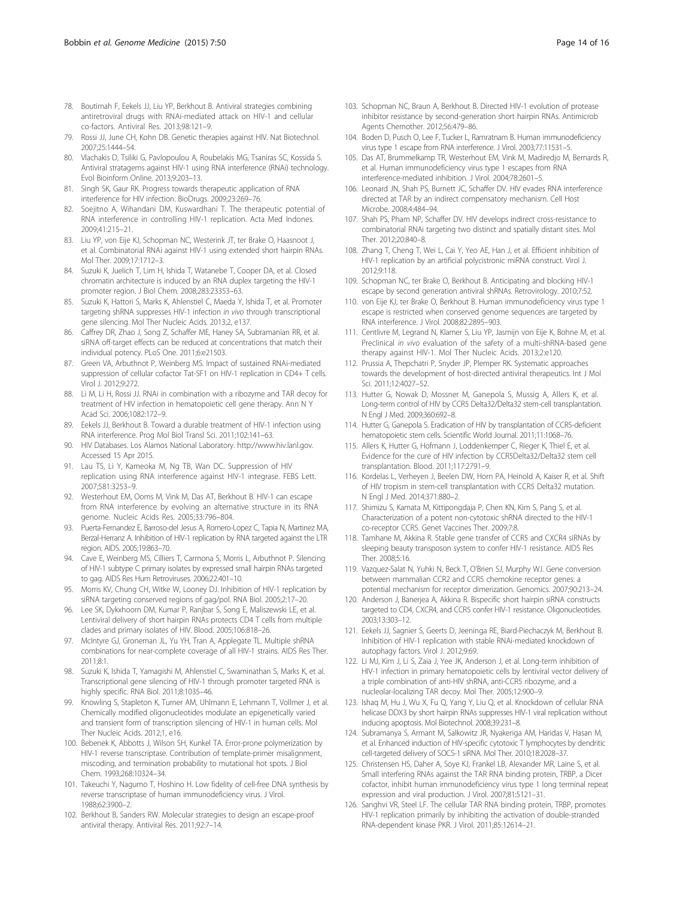- <span id="page-13-0"></span>78. Boutimah F, Eekels JJ, Liu YP, Berkhout B. Antiviral strategies combining antiretroviral drugs with RNAi-mediated attack on HIV-1 and cellular co-factors. Antiviral Res. 2013;98:121–9.
- 79. Rossi JJ, June CH, Kohn DB. Genetic therapies against HIV. Nat Biotechnol. 2007;25:1444–54.
- 80. Vlachakis D, Tsiliki G, Pavlopoulou A, Roubelakis MG, Tsaniras SC, Kossida S. Antiviral stratagems against HIV-1 using RNA interference (RNAi) technology. Evol Bioinform Online. 2013;9:203–13.
- 81. Singh SK, Gaur RK. Progress towards therapeutic application of RNA interference for HIV infection. BioDrugs. 2009;23:269–76.
- 82. Soejitno A, Wihandani DM, Kuswardhani T. The therapeutic potential of RNA interference in controlling HIV-1 replication. Acta Med Indones. 2009;41:215–21.
- 83. Liu YP, von Eije KJ, Schopman NC, Westerink JT, ter Brake O, Haasnoot J, et al. Combinatorial RNAi against HIV-1 using extended short hairpin RNAs. Mol Ther. 2009;17:1712–3.
- 84. Suzuki K, Juelich T, Lim H, Ishida T, Watanebe T, Cooper DA, et al. Closed chromatin architecture is induced by an RNA duplex targeting the HIV-1 promoter region. J Biol Chem. 2008;283:23353–63.
- 85. Suzuki K, Hattori S, Marks K, Ahlenstiel C, Maeda Y, Ishida T, et al. Promoter targeting shRNA suppresses HIV-1 infection in vivo through transcriptional gene silencing. Mol Ther Nucleic Acids. 2013;2, e137.
- 86. Caffrey DR, Zhao J, Song Z, Schaffer ME, Haney SA, Subramanian RR, et al. siRNA off-target effects can be reduced at concentrations that match their individual potency. PLoS One. 2011;6:e21503.
- 87. Green VA, Arbuthnot P, Weinberg MS. Impact of sustained RNAi-mediated suppression of cellular cofactor Tat-SF1 on HIV-1 replication in CD4+ T cells. Virol J. 2012;9:272.
- 88. Li M, Li H, Rossi JJ. RNAi in combination with a ribozyme and TAR decoy for treatment of HIV infection in hematopoietic cell gene therapy. Ann N Y Acad Sci. 2006;1082:172–9.
- 89. Eekels JJ, Berkhout B. Toward a durable treatment of HIV-1 infection using RNA interference. Prog Mol Biol Transl Sci. 2011;102:141–63.
- 90. HIV Databases. Los Alamos National Laboratory. [http://www.hiv.lanl.gov.](http://www.hiv.lanl.gov) Accessed 15 Apr 2015.
- 91. Lau TS, Li Y, Kameoka M, Ng TB, Wan DC. Suppression of HIV replication using RNA interference against HIV-1 integrase. FEBS Lett. 2007;581:3253–9.
- 92. Westerhout EM, Ooms M, Vink M, Das AT, Berkhout B. HIV-1 can escape from RNA interference by evolving an alternative structure in its RNA genome. Nucleic Acids Res. 2005;33:796–804.
- 93. Puerta-Fernandez E, Barroso-del Jesus A, Romero-Lopez C, Tapia N, Martinez MA, Berzal-Herranz A. Inhibition of HIV-1 replication by RNA targeted against the LTR region. AIDS. 2005;19:863–70.
- 94. Cave E, Weinberg MS, Cilliers T, Carmona S, Morris L, Arbuthnot P. Silencing of HIV-1 subtype C primary isolates by expressed small hairpin RNAs targeted to gag. AIDS Res Hum Retroviruses. 2006;22:401–10.
- 95. Morris KV, Chung CH, Witke W, Looney DJ. Inhibition of HIV-1 replication by siRNA targeting conserved regions of gag/pol. RNA Biol. 2005;2:17–20.
- 96. Lee SK, Dykxhoorn DM, Kumar P, Ranjbar S, Song E, Maliszewski LE, et al. Lentiviral delivery of short hairpin RNAs protects CD4 T cells from multiple clades and primary isolates of HIV. Blood. 2005;106:818–26.
- 97. McIntyre GJ, Groneman JL, Yu YH, Tran A, Applegate TL. Multiple shRNA combinations for near-complete coverage of all HIV-1 strains. AIDS Res Ther. 2011;8:1.
- 98. Suzuki K, Ishida T, Yamagishi M, Ahlenstiel C, Swaminathan S, Marks K, et al. Transcriptional gene silencing of HIV-1 through promoter targeted RNA is highly specific. RNA Biol. 2011;8:1035–46.
- 99. Knowling S, Stapleton K, Turner AM, Uhlmann E, Lehmann T, Vollmer J, et al. Chemically modified oligonucleotides modulate an epigenetically varied and transient form of transcription silencing of HIV-1 in human cells. Mol Ther Nucleic Acids. 2012;1, e16.
- 100. Bebenek K, Abbotts J, Wilson SH, Kunkel TA. Error-prone polymerization by HIV-1 reverse transcriptase. Contribution of template-primer misalignment, miscoding, and termination probability to mutational hot spots. J Biol Chem. 1993;268:10324–34.
- 101. Takeuchi Y, Nagumo T, Hoshino H. Low fidelity of cell-free DNA synthesis by reverse transcriptase of human immunodeficiency virus. J Virol. 1988;62:3900–2.
- 102. Berkhout B, Sanders RW. Molecular strategies to design an escape-proof antiviral therapy. Antiviral Res. 2011;92:7–14.
- 103. Schopman NC, Braun A, Berkhout B. Directed HIV-1 evolution of protease inhibitor resistance by second-generation short hairpin RNAs. Antimicrob Agents Chemother. 2012;56:479–86.
- 104. Boden D, Pusch O, Lee F, Tucker L, Ramratnam B. Human immunodeficiency virus type 1 escape from RNA interference. J Virol. 2003;77:11531–5.
- 105. Das AT, Brummelkamp TR, Westerhout EM, Vink M, Madiredjo M, Bernards R, et al. Human immunodeficiency virus type 1 escapes from RNA interference-mediated inhibition. J Virol. 2004;78:2601–5.
- 106. Leonard JN, Shah PS, Burnett JC, Schaffer DV. HIV evades RNA interference directed at TAR by an indirect compensatory mechanism. Cell Host Microbe. 2008;4:484–94.
- 107. Shah PS, Pham NP, Schaffer DV. HIV develops indirect cross-resistance to combinatorial RNAi targeting two distinct and spatially distant sites. Mol Ther. 2012;20:840–8.
- 108. Zhang T, Cheng T, Wei L, Cai Y, Yeo AE, Han J, et al. Efficient inhibition of HIV-1 replication by an artificial polycistronic miRNA construct. Virol J. 2012;9:118.
- 109. Schopman NC, ter Brake O, Berkhout B. Anticipating and blocking HIV-1 escape by second generation antiviral shRNAs. Retrovirology. 2010;7:52.
- 110. von Eije KJ, ter Brake O, Berkhout B. Human immunodeficiency virus type 1 escape is restricted when conserved genome sequences are targeted by RNA interference. J Virol. 2008;82:2895–903.
- 111. Centlivre M, Legrand N, Klamer S, Liu YP, Jasmijn von Eije K, Bohne M, et al. Preclinical in vivo evaluation of the safety of a multi-shRNA-based gene therapy against HIV-1. Mol Ther Nucleic Acids. 2013;2:e120.
- 112. Prussia A, Thepchatri P, Snyder JP, Plemper RK. Systematic approaches towards the development of host-directed antiviral therapeutics. Int J Mol Sci. 2011;12:4027–52.
- 113. Hutter G, Nowak D, Mossner M, Ganepola S, Mussig A, Allers K, et al. Long-term control of HIV by CCR5 Delta32/Delta32 stem-cell transplantation. N Engl J Med. 2009;360:692–8.
- 114. Hutter G, Ganepola S. Eradication of HIV by transplantation of CCR5-deficient hematopoietic stem cells. Scientific World Journal. 2011;11:1068–76.
- 115. Allers K, Hutter G, Hofmann J, Loddenkemper C, Rieger K, Thiel E, et al. Evidence for the cure of HIV infection by CCR5Delta32/Delta32 stem cell transplantation. Blood. 2011;117:2791–9.
- 116. Kordelas L, Verheyen J, Beelen DW, Horn PA, Heinold A, Kaiser R, et al. Shift of HIV tropism in stem-cell transplantation with CCR5 Delta32 mutation. N Engl J Med. 2014;371:880–2.
- 117. Shimizu S, Kamata M, Kittipongdaja P, Chen KN, Kim S, Pang S, et al. Characterization of a potent non-cytotoxic shRNA directed to the HIV-1 co-receptor CCR5. Genet Vaccines Ther. 2009;7:8.
- 118. Tamhane M, Akkina R. Stable gene transfer of CCR5 and CXCR4 siRNAs by sleeping beauty transposon system to confer HIV-1 resistance. AIDS Res Ther. 2008;5:16.
- 119. Vazquez-Salat N, Yuhki N, Beck T, O'Brien SJ, Murphy WJ. Gene conversion between mammalian CCR2 and CCR5 chemokine receptor genes: a potential mechanism for receptor dimerization. Genomics. 2007;90:213–24.
- 120. Anderson J, Banerjea A, Akkina R. Bispecific short hairpin siRNA constructs targeted to CD4, CXCR4, and CCR5 confer HIV-1 resistance. Oligonucleotides. 2003;13:303–12.
- 121. Eekels JJ, Sagnier S, Geerts D, Jeeninga RE, Biard-Piechaczyk M, Berkhout B. Inhibition of HIV-1 replication with stable RNAi-mediated knockdown of autophagy factors. Virol J. 2012;9:69.
- 122. Li MJ, Kim J, Li S, Zaia J, Yee JK, Anderson J, et al. Long-term inhibition of HIV-1 infection in primary hematopoietic cells by lentiviral vector delivery of a triple combination of anti-HIV shRNA, anti-CCR5 ribozyme, and a nucleolar-localizing TAR decoy. Mol Ther. 2005;12:900–9.
- 123. Ishaq M, Hu J, Wu X, Fu Q, Yang Y, Liu Q, et al. Knockdown of cellular RNA helicase DDX3 by short hairpin RNAs suppresses HIV-1 viral replication without inducing apoptosis. Mol Biotechnol. 2008;39:231–8.
- 124. Subramanya S, Armant M, Salkowitz JR, Nyakeriga AM, Haridas V, Hasan M, et al. Enhanced induction of HIV-specific cytotoxic T lymphocytes by dendritic cell-targeted delivery of SOCS-1 siRNA. Mol Ther. 2010;18:2028–37.
- 125. Christensen HS, Daher A, Soye KJ, Frankel LB, Alexander MR, Laine S, et al. Small interfering RNAs against the TAR RNA binding protein, TRBP, a Dicer cofactor, inhibit human immunodeficiency virus type 1 long terminal repeat expression and viral production. J Virol. 2007;81:5121–31.
- 126. Sanghvi VR, Steel LF. The cellular TAR RNA binding protein, TRBP, promotes HIV-1 replication primarily by inhibiting the activation of double-stranded RNA-dependent kinase PKR. J Virol. 2011;85:12614–21.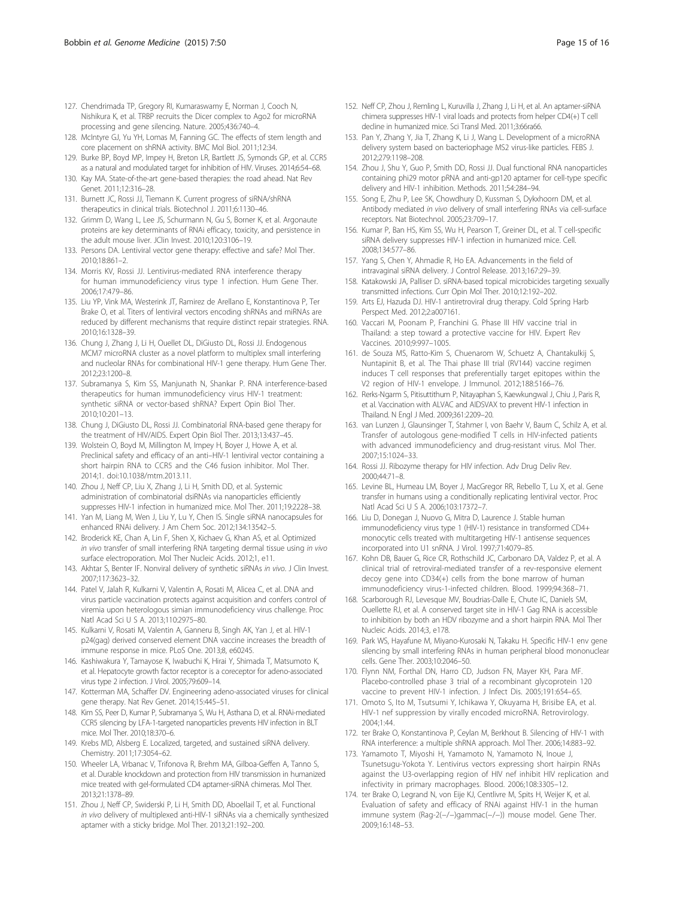- <span id="page-14-0"></span>127. Chendrimada TP, Gregory RI, Kumaraswamy E, Norman J, Cooch N, Nishikura K, et al. TRBP recruits the Dicer complex to Ago2 for microRNA processing and gene silencing. Nature. 2005;436:740–4.
- 128. McIntyre GJ, Yu YH, Lomas M, Fanning GC. The effects of stem length and core placement on shRNA activity. BMC Mol Biol. 2011;12:34.
- 129. Burke BP, Boyd MP, Impey H, Breton LR, Bartlett JS, Symonds GP, et al. CCR5 as a natural and modulated target for inhibition of HIV. Viruses. 2014;6:54–68.
- 130. Kay MA. State-of-the-art gene-based therapies: the road ahead. Nat Rev Genet. 2011;12:316–28.
- 131. Burnett JC, Rossi JJ, Tiemann K. Current progress of siRNA/shRNA therapeutics in clinical trials. Biotechnol J. 2011;6:1130–46.
- 132. Grimm D, Wang L, Lee JS, Schurmann N, Gu S, Borner K, et al. Argonaute proteins are key determinants of RNAi efficacy, toxicity, and persistence in the adult mouse liver. JClin Invest. 2010;120:3106–19.
- 133. Persons DA. Lentiviral vector gene therapy: effective and safe? Mol Ther. 2010;18:861–2.
- 134. Morris KV, Rossi JJ. Lentivirus-mediated RNA interference therapy for human immunodeficiency virus type 1 infection. Hum Gene Ther. 2006;17:479–86.
- 135. Liu YP, Vink MA, Westerink JT, Ramirez de Arellano E, Konstantinova P, Ter Brake O, et al. Titers of lentiviral vectors encoding shRNAs and miRNAs are reduced by different mechanisms that require distinct repair strategies. RNA. 2010;16:1328–39.
- 136. Chung J, Zhang J, Li H, Ouellet DL, DiGiusto DL, Rossi JJ. Endogenous MCM7 microRNA cluster as a novel platform to multiplex small interfering and nucleolar RNAs for combinational HIV-1 gene therapy. Hum Gene Ther. 2012;23:1200–8.
- 137. Subramanya S, Kim SS, Manjunath N, Shankar P. RNA interference-based therapeutics for human immunodeficiency virus HIV-1 treatment: synthetic siRNA or vector-based shRNA? Expert Opin Biol Ther. 2010;10:201–13.
- 138. Chung J, DiGiusto DL, Rossi JJ. Combinatorial RNA-based gene therapy for the treatment of HIV/AIDS. Expert Opin Biol Ther. 2013;13:437–45.
- 139. Wolstein O, Boyd M, Millington M, Impey H, Boyer J, Howe A, et al. Preclinical safety and efficacy of an anti–HIV-1 lentiviral vector containing a short hairpin RNA to CCR5 and the C46 fusion inhibitor. Mol Ther. 2014;1. doi:10.1038/mtm.2013.11.
- 140. Zhou J, Neff CP, Liu X, Zhang J, Li H, Smith DD, et al. Systemic administration of combinatorial dsiRNAs via nanoparticles efficiently suppresses HIV-1 infection in humanized mice. Mol Ther. 2011;19:2228–38.
- 141. Yan M, Liang M, Wen J, Liu Y, Lu Y, Chen IS. Single siRNA nanocapsules for enhanced RNAi delivery. J Am Chem Soc. 2012;134:13542–5.
- 142. Broderick KE, Chan A, Lin F, Shen X, Kichaev G, Khan AS, et al. Optimized in vivo transfer of small interfering RNA targeting dermal tissue using in vivo surface electroporation. Mol Ther Nucleic Acids. 2012;1, e11.
- 143. Akhtar S, Benter IF. Nonviral delivery of synthetic siRNAs in vivo. J Clin Invest. 2007;117:3623–32.
- 144. Patel V, Jalah R, Kulkarni V, Valentin A, Rosati M, Alicea C, et al. DNA and virus particle vaccination protects against acquisition and confers control of viremia upon heterologous simian immunodeficiency virus challenge. Proc Natl Acad Sci U S A. 2013;110:2975–80.
- 145. Kulkarni V, Rosati M, Valentin A, Ganneru B, Singh AK, Yan J, et al. HIV-1 p24(gag) derived conserved element DNA vaccine increases the breadth of immune response in mice. PLoS One. 2013;8, e60245.
- 146. Kashiwakura Y, Tamayose K, Iwabuchi K, Hirai Y, Shimada T, Matsumoto K, et al. Hepatocyte growth factor receptor is a coreceptor for adeno-associated virus type 2 infection. J Virol. 2005;79:609–14.
- 147. Kotterman MA, Schaffer DV. Engineering adeno-associated viruses for clinical gene therapy. Nat Rev Genet. 2014;15:445–51.
- 148. Kim SS, Peer D, Kumar P, Subramanya S, Wu H, Asthana D, et al. RNAi-mediated CCR5 silencing by LFA-1-targeted nanoparticles prevents HIV infection in BLT mice. Mol Ther. 2010;18:370–6.
- 149. Krebs MD, Alsberg E. Localized, targeted, and sustained siRNA delivery. Chemistry. 2011;17:3054–62.
- 150. Wheeler LA, Vrbanac V, Trifonova R, Brehm MA, Gilboa-Geffen A, Tanno S, et al. Durable knockdown and protection from HIV transmission in humanized mice treated with gel-formulated CD4 aptamer-siRNA chimeras. Mol Ther. 2013;21:1378–89.
- 151. Zhou J, Neff CP, Swiderski P, Li H, Smith DD, Aboellail T, et al. Functional in vivo delivery of multiplexed anti-HIV-1 siRNAs via a chemically synthesized aptamer with a sticky bridge. Mol Ther. 2013;21:192–200.
- 152. Neff CP, Zhou J, Remling L, Kuruvilla J, Zhang J, Li H, et al. An aptamer-siRNA chimera suppresses HIV-1 viral loads and protects from helper CD4(+) T cell decline in humanized mice. Sci Transl Med. 2011;3:66ra66.
- 153. Pan Y, Zhang Y, Jia T, Zhang K, Li J, Wang L. Development of a microRNA delivery system based on bacteriophage MS2 virus-like particles. FEBS J. 2012;279:1198–208.
- 154. Zhou J, Shu Y, Guo P, Smith DD, Rossi JJ. Dual functional RNA nanoparticles containing phi29 motor pRNA and anti-gp120 aptamer for cell-type specific delivery and HIV-1 inhibition. Methods. 2011;54:284–94.
- 155. Song E, Zhu P, Lee SK, Chowdhury D, Kussman S, Dykxhoorn DM, et al. Antibody mediated in vivo delivery of small interfering RNAs via cell-surface receptors. Nat Biotechnol. 2005;23:709–17.
- 156. Kumar P, Ban HS, Kim SS, Wu H, Pearson T, Greiner DL, et al. T cell-specific siRNA delivery suppresses HIV-1 infection in humanized mice. Cell. 2008;134:577–86.
- 157. Yang S, Chen Y, Ahmadie R, Ho EA. Advancements in the field of intravaginal siRNA delivery. J Control Release. 2013;167:29–39.
- 158. Katakowski JA, Palliser D. siRNA-based topical microbicides targeting sexually transmitted infections. Curr Opin Mol Ther. 2010;12:192–202.
- 159. Arts EJ, Hazuda DJ. HIV-1 antiretroviral drug therapy. Cold Spring Harb Perspect Med. 2012;2:a007161.
- 160. Vaccari M, Poonam P, Franchini G. Phase III HIV vaccine trial in Thailand: a step toward a protective vaccine for HIV. Expert Rev Vaccines. 2010;9:997–1005.
- 161. de Souza MS, Ratto-Kim S, Chuenarom W, Schuetz A, Chantakulkij S, Nuntapinit B, et al. The Thai phase III trial (RV144) vaccine regimen induces T cell responses that preferentially target epitopes within the V2 region of HIV-1 envelope. J Immunol. 2012;188:5166–76.
- 162. Rerks-Ngarm S, Pitisuttithum P, Nitayaphan S, Kaewkungwal J, Chiu J, Paris R, et al. Vaccination with ALVAC and AIDSVAX to prevent HIV-1 infection in Thailand. N Engl J Med. 2009;361:2209–20.
- 163. van Lunzen J, Glaunsinger T, Stahmer I, von Baehr V, Baum C, Schilz A, et al. Transfer of autologous gene-modified T cells in HIV-infected patients with advanced immunodeficiency and drug-resistant virus. Mol Ther. 2007;15:1024–33.
- 164. Rossi JJ. Ribozyme therapy for HIV infection. Adv Drug Deliv Rev. 2000;44:71–8.
- 165. Levine BL, Humeau LM, Boyer J, MacGregor RR, Rebello T, Lu X, et al. Gene transfer in humans using a conditionally replicating lentiviral vector. Proc Natl Acad Sci U S A. 2006;103:17372–7.
- 166. Liu D, Donegan J, Nuovo G, Mitra D, Laurence J. Stable human immunodeficiency virus type 1 (HIV-1) resistance in transformed CD4+ monocytic cells treated with multitargeting HIV-1 antisense sequences incorporated into U1 snRNA. J Virol. 1997;71:4079–85.
- 167. Kohn DB, Bauer G, Rice CR, Rothschild JC, Carbonaro DA, Valdez P, et al. A clinical trial of retroviral-mediated transfer of a rev-responsive element decoy gene into CD34(+) cells from the bone marrow of human immunodeficiency virus-1-infected children. Blood. 1999;94:368–71.
- 168. Scarborough RJ, Levesque MV, Boudrias-Dalle E, Chute IC, Daniels SM, Ouellette RJ, et al. A conserved target site in HIV-1 Gag RNA is accessible to inhibition by both an HDV ribozyme and a short hairpin RNA. Mol Ther Nucleic Acids. 2014;3, e178.
- 169. Park WS, Hayafune M, Miyano-Kurosaki N, Takaku H. Specific HIV-1 env gene silencing by small interfering RNAs in human peripheral blood mononuclear cells. Gene Ther. 2003;10:2046–50.
- 170. Flynn NM, Forthal DN, Harro CD, Judson FN, Mayer KH, Para MF. Placebo-controlled phase 3 trial of a recombinant glycoprotein 120 vaccine to prevent HIV-1 infection. J Infect Dis. 2005;191:654–65.
- 171. Omoto S, Ito M, Tsutsumi Y, Ichikawa Y, Okuyama H, Brisibe EA, et al. HIV-1 nef suppression by virally encoded microRNA. Retrovirology. 2004;1:44.
- 172. ter Brake O, Konstantinova P, Ceylan M, Berkhout B. Silencing of HIV-1 with RNA interference: a multiple shRNA approach. Mol Ther. 2006;14:883–92.
- 173. Yamamoto T, Miyoshi H, Yamamoto N, Yamamoto N, Inoue J, Tsunetsugu-Yokota Y. Lentivirus vectors expressing short hairpin RNAs against the U3-overlapping region of HIV nef inhibit HIV replication and infectivity in primary macrophages. Blood. 2006;108:3305–12.
- 174. ter Brake O, Legrand N, von Eije KJ, Centlivre M, Spits H, Weijer K, et al. Evaluation of safety and efficacy of RNAi against HIV-1 in the human immune system (Rag-2(−/−)gammac(−/−)) mouse model. Gene Ther. 2009;16:148–53.